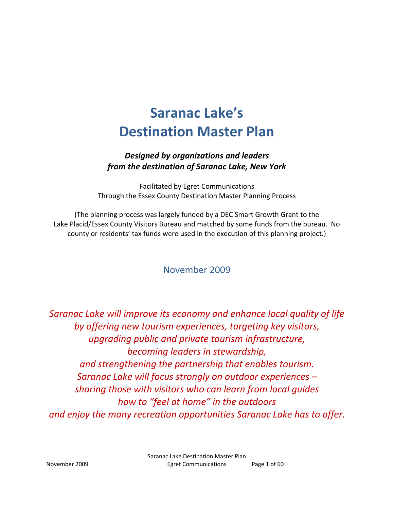# **Saranac Lake)s Destination Master Plan**

# *Designed by organizations and leaders from the destination of Saranac Lake, New York*

Facilitated by Egret Communications Through the Essex County Destination Master Planning Process

(The planning process was largely funded by a DEC Smart Growth Grant to the Lake Placid/Essex County Visitors Bureau and matched by some funds from the bureau. No county or residents' tax funds were used in the execution of this planning project.)

# November 2009

*Saranac Lake will improve its economy and enhance local quality of life by offering new tourism experiences, targeting key visitors, upgrading public and private tourism infrastructure, becoming leaders in stewardship, and strengthening the partnership that enables tourism. Saranac Lake will focus strongly on outdoor experiences = sharing those with visitors who can learn from local guides how to >feel at home? in the outdoors and enjoy the many recreation opportunities Saranac Lake has to offer.*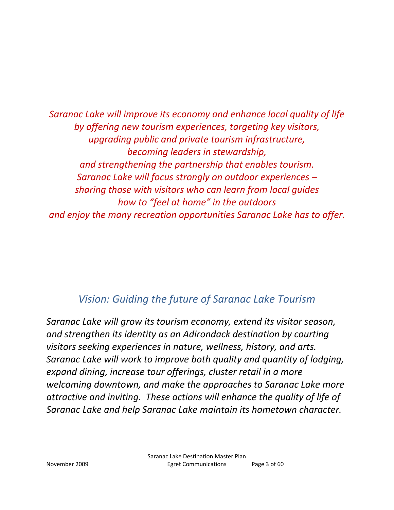*Saranac Lake will improve its economy and enhance local quality of life by offering new tourism experiences, targeting key visitors, upgrading public and private tourism infrastructure, becoming leaders in stewardship, and strengthening the partnership that enables tourism. Saranac Lake will focus strongly on outdoor experiences = sharing those with visitors who can learn from local guides how to >feel at home? in the outdoors and enjoy the many recreation opportunities Saranac Lake has to offer.*

# *Vision: Guiding the future of Saranac Lake Tourism*

*Saranac Lake will grow its tourism economy, extend its visitor season, and strengthen its identity as an Adirondack destination by courting visitors seeking experiences in nature, wellness, history, and arts. Saranac Lake will work to improve both quality and quantity of lodging, expand dining, increase tour offerings, cluster retail in a more welcoming downtown, and make the approaches to Saranac Lake more attractive and inviting.These actions will enhance the quality of life of Saranac Lake and help Saranac Lake maintain its hometown character.*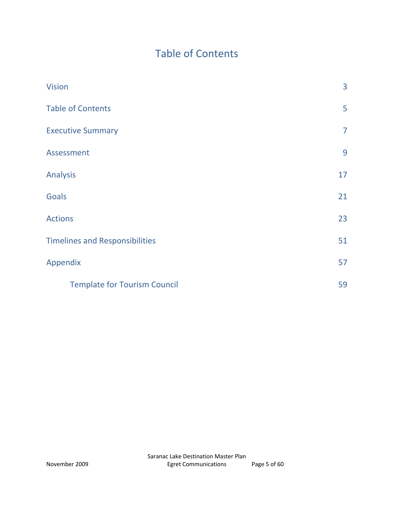# Table of Contents

| <b>Vision</b>                         | 3              |
|---------------------------------------|----------------|
| <b>Table of Contents</b>              | 5              |
| <b>Executive Summary</b>              | $\overline{7}$ |
| Assessment                            | 9              |
| <b>Analysis</b>                       | 17             |
| <b>Goals</b>                          | 21             |
| <b>Actions</b>                        | 23             |
| <b>Timelines and Responsibilities</b> | 51             |
| Appendix                              | 57             |
| <b>Template for Tourism Council</b>   | 59             |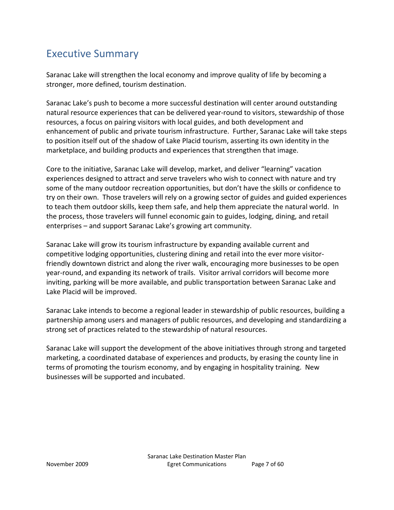# Executive Summary

Saranac Lake will strengthen the local economy and improve quality of life by becoming a stronger, more defined, tourism destination.

Saranac Lake's push to become a more successful destination will center around outstanding natural resource experiences that can be delivered year-round to visitors, stewardship of those resources, a focus on pairing visitors with local guides, and both development and enhancement of public and private tourism infrastructure. Further, Saranac Lake will take steps to position itself out of the shadow of Lake Placid tourism, asserting its own identity in the marketplace, and building products and experiences that strengthen that image.

Core to the initiative, Saranac Lake will develop, market, and deliver "learning" vacation experiences designed to attract and serve travelers who wish to connect with nature and try some of the many outdoor recreation opportunities, but don't have the skills or confidence to try on their own. Those travelers will rely on a growing sector of guides and guided experiences to teach them outdoor skills, keep them safe, and help them appreciate the natural world. In the process, those travelers will funnel economic gain to guides, lodging, dining, and retail enterprises - and support Saranac Lake's growing art community.

Saranac Lake will grow its tourism infrastructure by expanding available current and competitive lodging opportunities, clustering dining and retail into the ever more visitorfriendly downtown district and along the river walk, encouraging more businesses to be open year-round, and expanding its network of trails. Visitor arrival corridors will become more inviting, parking will be more available, and public transportation between Saranac Lake and Lake Placid will be improved.

Saranac Lake intends to become a regional leader in stewardship of public resources, building a partnership among users and managers of public resources, and developing and standardizing a strong set of practices related to the stewardship of natural resources.

Saranac Lake will support the development of the above initiatives through strong and targeted marketing, a coordinated database of experiences and products, by erasing the county line in terms of promoting the tourism economy, and by engaging in hospitality training. New businesses will be supported and incubated.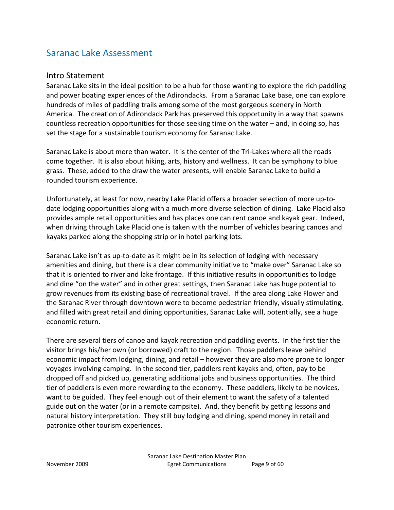# Saranac Lake Assessment

#### Intro Statement

Saranac Lake sits in the ideal position to be a hub for those wanting to explore the rich paddling and power boating experiences of the Adirondacks. From a Saranac Lake base, one can explore hundreds of miles of paddling trails among some of the most gorgeous scenery in North America. The creation of Adirondack Park has preserved this opportunity in a way that spawns countless recreation opportunities for those seeking time on the water  $-$  and, in doing so, has set the stage for a sustainable tourism economy for Saranac Lake.

Saranac Lake is about more than water. It is the center of the Tri-Lakes where all the roads come together. It is also about hiking, arts, history and wellness. It can be symphony to blue grass.These, added to the draw the water presents, will enable Saranac Lake to build a rounded tourism experience.

Unfortunately, at least for now, nearby Lake Placid offers a broader selection of more up-todate lodging opportunities along with a much more diverse selection of dining. Lake Placid also provides ample retail opportunities and has places one can rent canoe and kayak gear. Indeed, when driving through Lake Placid one is taken with the number of vehicles bearing canoes and kayaks parked along the shopping strip or in hotel parking lots.

Saranac Lake isn't as up-to-date as it might be in its selection of lodging with necessary amenities and dining, but there is a clear community initiative to "make over" Saranac Lake so that it is oriented to river and lake frontage. If this initiative results in opportunities to lodge and dine "on the water" and in other great settings, then Saranac Lake has huge potential to grow revenues from its existing base of recreational travel. If the area along Lake Flower and the Saranac River through downtown were to become pedestrian friendly, visually stimulating, and filled with great retail and dining opportunities, Saranac Lake will, potentially, see a huge economic return.

There are several tiers of canoe and kayak recreation and paddling events. In the first tier the visitor brings his/her own (or borrowed) craft to the region. Those paddlers leave behind economic impact from lodging, dining, and retail – however they are also more prone to longer voyages involving camping. In the second tier, paddlers rent kayaks and, often, pay to be dropped off and picked up, generating additional jobs and business opportunities.The third tier of paddlers is even more rewarding to the economy.These paddlers, likely to be novices, want to be guided. They feel enough out of their element to want the safety of a talented guide out on the water (or in a remote campsite). And, they benefit by getting lessons and natural history interpretation. They still buy lodging and dining, spend money in retail and patronize other tourism experiences.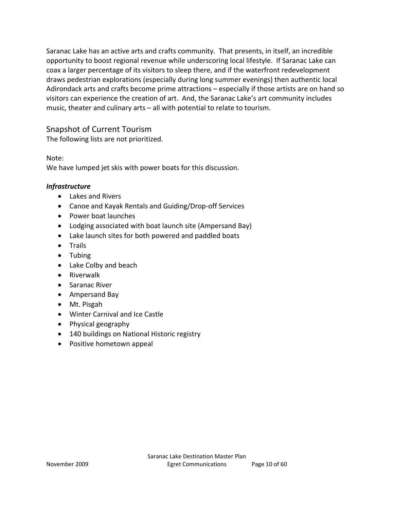Saranac Lake has an active arts and crafts community. That presents, in itself, an incredible opportunity to boost regional revenue while underscoring local lifestyle. If Saranac Lake can coax a larger percentage of its visitors to sleep there, and if the waterfront redevelopment draws pedestrian explorations (especially during long summer evenings) then authentic local Adirondack arts and crafts become prime attractions - especially if those artists are on hand so visitors can experience the creation of art. And, the Saranac Lake's art community includes music, theater and culinary arts  $-$  all with potential to relate to tourism.

# Snapshot of Current Tourism

The following lists are not prioritized.

Note:

We have lumped jet skis with power boats for this discussion.

# *Infrastructure*

- Lakes and Rivers
- Canoe and Kayak Rentals and Guiding/Drop-off Services
- Power boat launches
- Lodging associated with boat launch site (Ampersand Bay)
- Lake launch sites for both powered and paddled boats
- Trails
- $\bullet$  Tubing
- Lake Colby and beach
- $\bullet$  Riverwalk
- Saranac River
- Ampersand Bay
- Mt. Pisgah
- Winter Carnival and Ice Castle
- Physical geography
- 140 buildings on National Historic registry
- Positive hometown appeal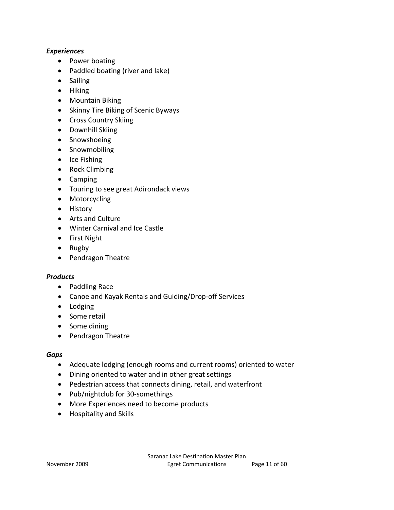#### *Experiences*

- Power boating
- $\bullet$  Paddled boating (river and lake)
- Sailing
- Hiking
- Mountain Biking
- Skinny Tire Biking of Scenic Byways
- Cross Country Skiing
- Downhill Skiing
- Snowshoeing
- Snowmobiling
- $\bullet$  Ice Fishing
- Rock Climbing
- Camping
- Touring to see great Adirondack views
- Motorcycling
- History
- Arts and Culture
- Winter Carnival and Ice Castle
- First Night
- $\bullet$  Rugby
- Pendragon Theatre

#### *Products*

- Paddling Race
- Canoe and Kayak Rentals and Guiding/Drop-off Services
- Lodging
- Some retail
- $\bullet$  Some dining
- Pendragon Theatre

#### *Gaps*

- Adequate lodging (enough rooms and current rooms) oriented to water
- Dining oriented to water and in other great settings
- Pedestrian access that connects dining, retail, and waterfront
- Pub/nightclub for 30-somethings
- More Experiences need to become products
- Hospitality and Skills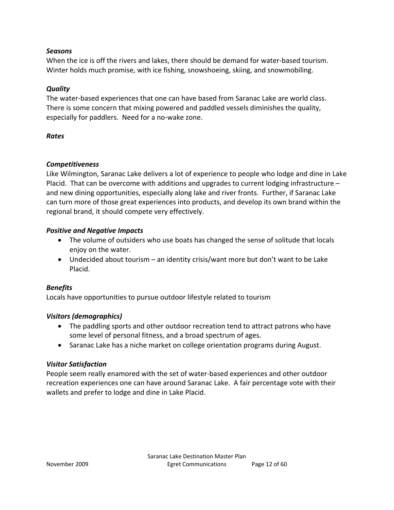#### *Seasons*

When the ice is off the rivers and lakes, there should be demand for water-based tourism. Winter holds much promise, with ice fishing, snowshoeing, skiing, and snowmobiling.

# *Quality*

The water-based experiences that one can have based from Saranac Lake are world class. There is some concern that mixing powered and paddled vessels diminishes the quality, especially for paddlers. Need for a no-wake zone.

# *Rates*

# *Competitiveness*

Like Wilmington, Saranac Lake delivers a lot of experience to people who lodge and dine in Lake Placid. That can be overcome with additions and upgrades to current lodging infrastructure  $$ and new dining opportunities, especially along lake and river fronts. Further, if Saranac Lake can turn more of those great experiences into products, and develop its own brand within the regional brand, it should compete very effectively.

# *Positive and Negative Impacts*

- The volume of outsiders who use boats has changed the sense of solitude that locals enjoy on the water.
- Undecided about tourism  $-$  an identity crisis/want more but don't want to be Lake Placid.

# *Benefits*

Locals have opportunities to pursue outdoor lifestyle related to tourism

# *Visitors (demographics)*

- The paddling sports and other outdoor recreation tend to attract patrons who have some level of personal fitness, and a broad spectrum of ages.
- Saranac Lake has a niche market on college orientation programs during August.

# *Visitor Satisfaction*

People seem really enamored with the set of water-based experiences and other outdoor recreation experiences one can have around Saranac Lake. A fair percentage vote with their wallets and prefer to lodge and dine in Lake Placid.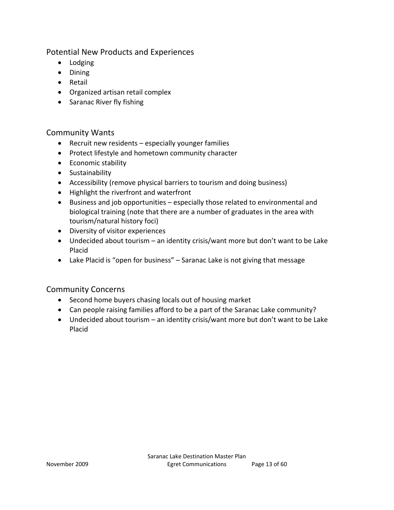Potential New Products and Experiences

- Lodging
- $\bullet$  Dining
- Retail
- Organized artisan retail complex
- Saranac River fly fishing

# Community Wants

- $\bullet$  Recruit new residents  $-$  especially younger families
- Protect lifestyle and hometown community character
- **•** Economic stability
- **•** Sustainability
- Accessibility (remove physical barriers to tourism and doing business)
- Highlight the riverfront and waterfront
- $\bullet$  Business and job opportunities  $-$  especially those related to environmental and biological training (note that there are a number of graduates in the area with tourism/natural history foci)
- Diversity of visitor experiences
- Undecided about tourism  $-$  an identity crisis/want more but don't want to be Lake Placid
- Lake Placid is "open for business"  $-$  Saranac Lake is not giving that message

# Community Concerns

- Second home buyers chasing locals out of housing market
- Can people raising families afford to be a part of the Saranac Lake community?
- Undecided about tourism  $-$  an identity crisis/want more but don't want to be Lake Placid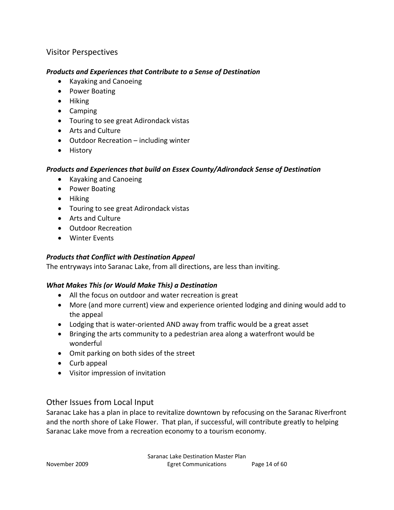# Visitor Perspectives

#### *Products and Experiences that Contribute to a Sense of Destination*

- Kayaking and Canoeing
- Power Boating
- $\bullet$  Hiking
- $\bullet$  Camping
- Touring to see great Adirondack vistas
- Arts and Culture
- $\bullet$  Outdoor Recreation  $-$  including winter
- $\bullet$  History

#### *Products and Experiences that build on Essex County/Adirondack Sense of Destination*

- Kayaking and Canoeing
- Power Boating
- $\bullet$  Hiking
- Touring to see great Adirondack vistas
- Arts and Culture
- Outdoor Recreation
- Winter Events

# *Products that Conflict with Destination Appeal*

The entryways into Saranac Lake, from all directions, are less than inviting.

# *What Makes This (or Would Make This) a Destination*

- All the focus on outdoor and water recreation is great
- More (and more current) view and experience oriented lodging and dining would add to the appeal
- Lodging that is water-oriented AND away from traffic would be a great asset
- Bringing the arts community to a pedestrian area along a waterfront would be wonderful
- Omit parking on both sides of the street
- $\bullet$  Curb appeal
- Visitor impression of invitation

# Other Issues from Local Input

Saranac Lake has a plan in place to revitalize downtown by refocusing on the Saranac Riverfront and the north shore of Lake Flower. That plan, if successful, will contribute greatly to helping Saranac Lake move from a recreation economy to a tourism economy.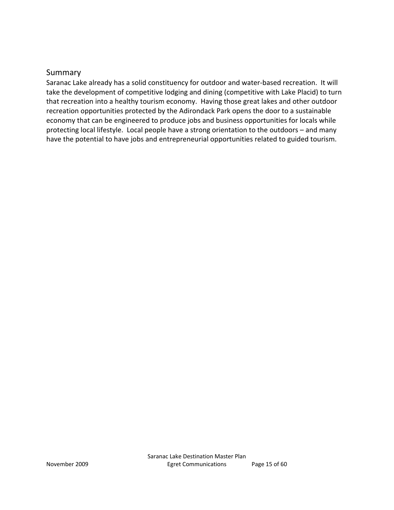# Summary

Saranac Lake already has a solid constituency for outdoor and water-based recreation. It will take the development of competitive lodging and dining (competitive with Lake Placid) to turn that recreation into a healthy tourism economy. Having those great lakes and other outdoor recreation opportunities protected by the Adirondack Park opens the door to a sustainable economy that can be engineered to produce jobs and business opportunities for locals while protecting local lifestyle. Local people have a strong orientation to the outdoors - and many have the potential to have jobs and entrepreneurial opportunities related to guided tourism.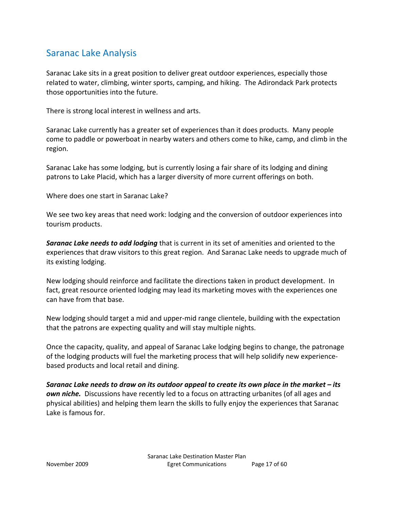# Saranac Lake Analysis

Saranac Lake sits in a great position to deliver great outdoor experiences, especially those related to water, climbing, winter sports, camping, and hiking. The Adirondack Park protects those opportunities into the future.

There is strong local interest in wellness and arts.

Saranac Lake currently has a greater set of experiences than it does products.Many people come to paddle or powerboat in nearby waters and others come to hike, camp, and climb in the region.

Saranac Lake has some lodging, but is currently losing a fair share of its lodging and dining patrons to Lake Placid, which has a larger diversity of more current offerings on both.

Where does one start in Saranac Lake?

We see two key areas that need work: lodging and the conversion of outdoor experiences into tourism products.

*Saranac Lake needs to add lodging* that is current in its set of amenities and oriented to the experiences that draw visitors to this great region. And Saranac Lake needs to upgrade much of its existing lodging.

New lodging should reinforce and facilitate the directions taken in product development. In fact, great resource oriented lodging may lead its marketing moves with the experiences one can have from that base.

New lodging should target a mid and upper-mid range clientele, building with the expectation that the patrons are expecting quality and will stay multiple nights.

Once the capacity, quality, and appeal of Saranac Lake lodging begins to change, the patronage of the lodging products will fuel the marketing process that will help solidify new experiencebased products and local retail and dining.

Saranac Lake needs to draw on its outdoor appeal to create its own place in the market – its *own niche.* Discussions have recently led to a focus on attracting urbanites (of all ages and physical abilities) and helping them learn the skills to fully enjoy the experiences that Saranac Lake is famous for.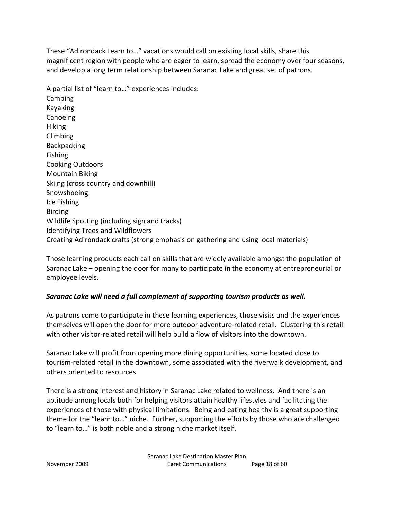These "Adirondack Learn to..." vacations would call on existing local skills, share this magnificent region with people who are eager to learn, spread the economy over four seasons, and develop a long term relationship between Saranac Lake and great set of patrons.

A partial list of "learn to..." experiences includes: Camping Kayaking Canoeing **Hiking** Climbing **Backpacking** Fishing Cooking Outdoors Mountain Biking Skiing (cross country and downhill) Snowshoeing Ice Fishing Birding Wildlife Spotting (including sign and tracks) Identifying Trees and Wildflowers Creating Adirondack crafts (strong emphasis on gathering and using local materials)

Those learning products each call on skills that are widely available amongst the population of Saranac Lake – opening the door for many to participate in the economy at entrepreneurial or employee levels.

# *Saranac Lake will need a full complement of supporting tourism products as well.*

As patrons come to participate in these learning experiences, those visits and the experiences themselves will open the door for more outdoor adventure-related retail. Clustering this retail with other visitor-related retail will help build a flow of visitors into the downtown.

Saranac Lake will profit from opening more dining opportunities, some located close to tourism-related retail in the downtown, some associated with the riverwalk development, and others oriented to resources.

There is a strong interest and history in Saranac Lake related to wellness. And there is an aptitude among locals both for helping visitors attain healthy lifestyles and facilitating the experiences of those with physical limitations. Being and eating healthy is a great supporting theme for the "learn to..." niche. Further, supporting the efforts by those who are challenged to "learn to..." is both noble and a strong niche market itself.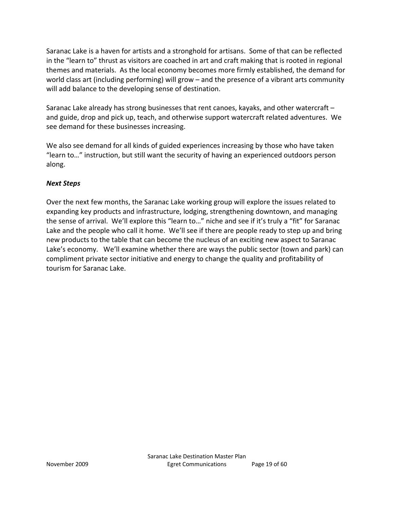Saranac Lake is a haven for artists and a stronghold for artisans. Some of that can be reflected in the "learn to" thrust as visitors are coached in art and craft making that is rooted in regional themes and materials. As the local economy becomes more firmly established, the demand for world class art (including performing) will grow  $-$  and the presence of a vibrant arts community will add balance to the developing sense of destination.

Saranac Lake already has strong businesses that rent canoes, kayaks, and other watercraft  $$ and guide, drop and pick up, teach, and otherwise support watercraft related adventures.We see demand for these businesses increasing.

We also see demand for all kinds of guided experiences increasing by those who have taken "Iearn to..." instruction, but still want the security of having an experienced outdoors person along.

# *Next Steps*

Over the next few months, the Saranac Lake working group will explore the issues related to expanding key products and infrastructure, lodging, strengthening downtown, and managing the sense of arrival. We'll explore this "learn to..." niche and see if it's truly a "fit" for Saranac Lake and the people who call it home. We'll see if there are people ready to step up and bring new products to the table that can become the nucleus of an exciting new aspect to Saranac Lake's economy. We'll examine whether there are ways the public sector (town and park) can compliment private sector initiative and energy to change the quality and profitability of tourism for Saranac Lake.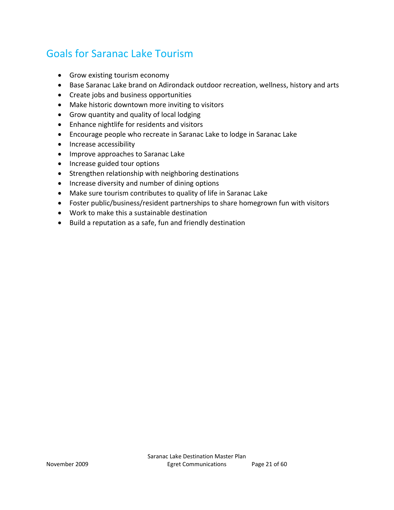# Goals for Saranac Lake Tourism

- Grow existing tourism economy
- Base Saranac Lake brand on Adirondack outdoor recreation, wellness, history and arts
- Create jobs and business opportunities
- Make historic downtown more inviting to visitors
- Grow quantity and quality of local lodging
- Enhance nightlife for residents and visitors
- Encourage people who recreate in Saranac Lake to lodge in Saranac Lake
- Increase accessibility
- Improve approaches to Saranac Lake
- Increase guided tour options
- Strengthen relationship with neighboring destinations
- Increase diversity and number of dining options
- Make sure tourism contributes to quality of life in Saranac Lake
- Foster public/business/resident partnerships to share homegrown fun with visitors
- Work to make this a sustainable destination
- Build a reputation as a safe, fun and friendly destination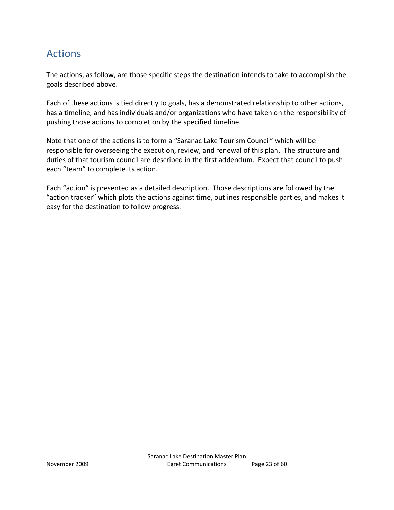# Actions

The actions, as follow, are those specific steps the destination intends to take to accomplish the goals described above.

Each of these actions is tied directly to goals, has a demonstrated relationship to other actions, has a timeline, and has individuals and/or organizations who have taken on the responsibility of pushing those actions to completion by the specified timeline.

Note that one of the actions is to form a "Saranac Lake Tourism Council" which will be responsible for overseeing the execution, review, and renewal of this plan. The structure and duties of that tourism council are described in the first addendum. Expect that council to push each "team" to complete its action.

Each "action" is presented as a detailed description. Those descriptions are followed by the "action tracker" which plots the actions against time, outlines responsible parties, and makes it easy for the destination to follow progress.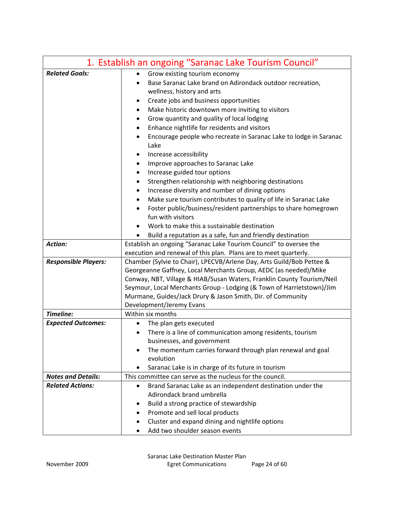| 1. Establish an ongoing "Saranac Lake Tourism Council"                         |
|--------------------------------------------------------------------------------|
| Grow existing tourism economy<br>$\bullet$                                     |
| Base Saranac Lake brand on Adirondack outdoor recreation,                      |
| wellness, history and arts                                                     |
| Create jobs and business opportunities<br>٠                                    |
| Make historic downtown more inviting to visitors<br>٠                          |
| Grow quantity and quality of local lodging<br>٠                                |
| Enhance nightlife for residents and visitors<br>٠                              |
| Encourage people who recreate in Saranac Lake to lodge in Saranac<br>$\bullet$ |
| Lake                                                                           |
| Increase accessibility<br>$\bullet$                                            |
| Improve approaches to Saranac Lake<br>٠                                        |
| Increase guided tour options<br>٠                                              |
| Strengthen relationship with neighboring destinations<br>٠                     |
| Increase diversity and number of dining options                                |
| Make sure tourism contributes to quality of life in Saranac Lake<br>٠          |
| Foster public/business/resident partnerships to share homegrown                |
| fun with visitors                                                              |
| Work to make this a sustainable destination                                    |
| Build a reputation as a safe, fun and friendly destination                     |
| Establish an ongoing "Saranac Lake Tourism Council" to oversee the             |
| execution and renewal of this plan. Plans are to meet quarterly.               |
| Chamber (Sylvie to Chair), LPECVB/Arlene Day, Arts Guild/Bob Pettee &          |
| Georgeanne Gaffney, Local Merchants Group, AEDC (as needed)/Mike               |
| Conway, NBT, Village & HIAB/Susan Waters, Franklin County Tourism/Neil         |
| Seymour, Local Merchants Group - Lodging (& Town of Harrietstown)/Jim          |
| Murmane, Guides/Jack Drury & Jason Smith, Dir. of Community                    |
| Development/Jeremy Evans<br>Within six months                                  |
|                                                                                |
| The plan gets executed<br>$\bullet$                                            |
| There is a line of communication among residents, tourism                      |
| businesses, and government                                                     |
| The momentum carries forward through plan renewal and goal<br>evolution        |
| Saranac Lake is in charge of its future in tourism                             |
| This committee can serve as the nucleus for the council.                       |
| Brand Saranac Lake as an independent destination under the<br>$\bullet$        |
| Adirondack brand umbrella                                                      |
| Build a strong practice of stewardship<br>٠                                    |
| Promote and sell local products                                                |
| Cluster and expand dining and nightlife options<br>٠                           |
| Add two shoulder season events                                                 |
|                                                                                |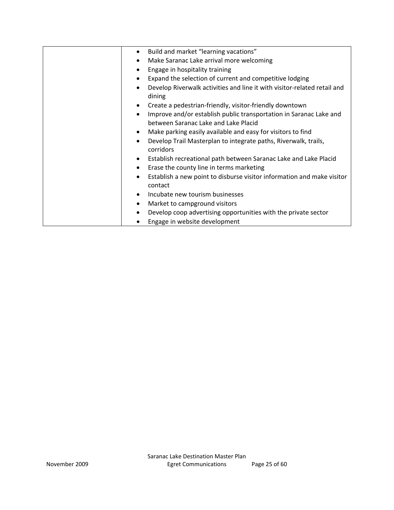| $\bullet$ | Build and market "learning vacations"                                                                      |
|-----------|------------------------------------------------------------------------------------------------------------|
| ٠         | Make Saranac Lake arrival more welcoming                                                                   |
| $\bullet$ | Engage in hospitality training                                                                             |
| ٠         | Expand the selection of current and competitive lodging                                                    |
| $\bullet$ | Develop Riverwalk activities and line it with visitor-related retail and<br>dining                         |
| ٠         | Create a pedestrian-friendly, visitor-friendly downtown                                                    |
| $\bullet$ | Improve and/or establish public transportation in Saranac Lake and<br>between Saranac Lake and Lake Placid |
| ٠         | Make parking easily available and easy for visitors to find                                                |
| $\bullet$ | Develop Trail Masterplan to integrate paths, Riverwalk, trails,<br>corridors                               |
| ٠         | Establish recreational path between Saranac Lake and Lake Placid                                           |
| $\bullet$ | Erase the county line in terms marketing                                                                   |
| ٠         | Establish a new point to disburse visitor information and make visitor<br>contact                          |
| $\bullet$ | Incubate new tourism businesses                                                                            |
| ٠         | Market to campground visitors                                                                              |
| $\bullet$ | Develop coop advertising opportunities with the private sector                                             |
|           | Engage in website development                                                                              |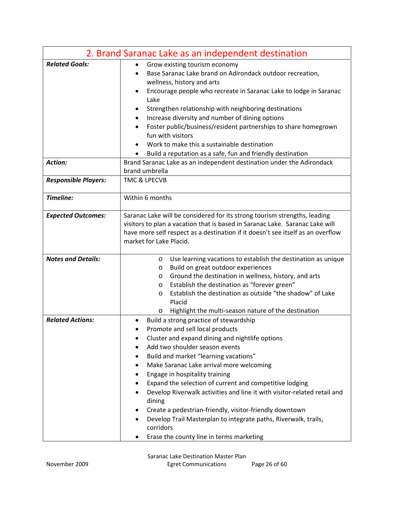|                             | 2. Brand Saranac Lake as an independent destination                                                                                                                                                                                                                                                                                                                                                                                                                                                                                                                                                                           |
|-----------------------------|-------------------------------------------------------------------------------------------------------------------------------------------------------------------------------------------------------------------------------------------------------------------------------------------------------------------------------------------------------------------------------------------------------------------------------------------------------------------------------------------------------------------------------------------------------------------------------------------------------------------------------|
| <b>Related Goals:</b>       | Grow existing tourism economy<br>$\bullet$<br>Base Saranac Lake brand on Adirondack outdoor recreation,<br>wellness, history and arts<br>Encourage people who recreate in Saranac Lake to lodge in Saranac<br>Lake<br>Strengthen relationship with neighboring destinations<br>Increase diversity and number of dining options<br>Foster public/business/resident partnerships to share homegrown<br>fun with visitors<br>Work to make this a sustainable destination<br>Build a reputation as a safe, fun and friendly destination                                                                                           |
| <b>Action:</b>              | Brand Saranac Lake as an independent destination under the Adirondack<br>brand umbrella                                                                                                                                                                                                                                                                                                                                                                                                                                                                                                                                       |
| <b>Responsible Players:</b> | <b>TMC &amp; LPECVB</b>                                                                                                                                                                                                                                                                                                                                                                                                                                                                                                                                                                                                       |
| Timeline:                   | Within 6 months                                                                                                                                                                                                                                                                                                                                                                                                                                                                                                                                                                                                               |
| <b>Expected Outcomes:</b>   | Saranac Lake will be considered for its strong tourism strengths, leading<br>visitors to plan a vacation that is based in Saranac Lake. Saranac Lake will<br>have more self respect as a destination if it doesn't see itself as an overflow<br>market for Lake Placid.                                                                                                                                                                                                                                                                                                                                                       |
| <b>Notes and Details:</b>   | Use learning vacations to establish the destination as unique<br>$\circ$<br>Build on great outdoor experiences<br>O<br>Ground the destination in wellness, history, and arts<br>$\circ$<br>Establish the destination as "forever green"<br>$\circ$<br>Establish the destination as outside "the shadow" of Lake<br>$\circ$<br>Placid<br>Highlight the multi-season nature of the destination<br>$\circ$                                                                                                                                                                                                                       |
| <b>Related Actions:</b>     | Build a strong practice of stewardship<br>Promote and sell local products<br>Cluster and expand dining and nightlife options<br>Add two shoulder season events<br>Build and market "learning vacations"<br>Make Saranac Lake arrival more welcoming<br>Engage in hospitality training<br>Expand the selection of current and competitive lodging<br>Develop Riverwalk activities and line it with visitor-related retail and<br>dining<br>Create a pedestrian-friendly, visitor-friendly downtown<br>Develop Trail Masterplan to integrate paths, Riverwalk, trails,<br>corridors<br>Erase the county line in terms marketing |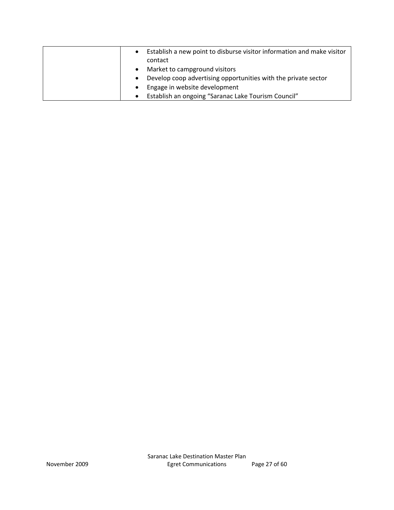|  | Establish a new point to disburse visitor information and make visitor<br>contact |
|--|-----------------------------------------------------------------------------------|
|  | Market to campground visitors                                                     |
|  | Develop coop advertising opportunities with the private sector                    |
|  | Engage in website development                                                     |
|  | Establish an ongoing "Saranac Lake Tourism Council"                               |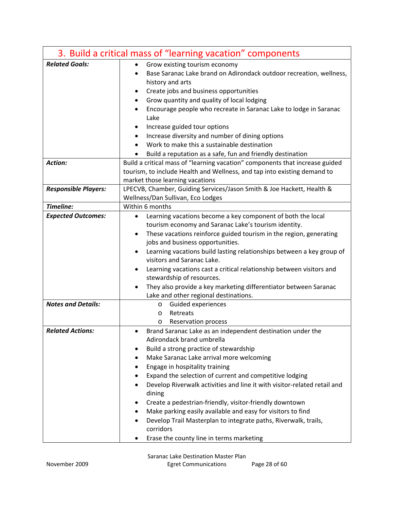|                             | 3. Build a critical mass of "learning vacation" components                                                      |
|-----------------------------|-----------------------------------------------------------------------------------------------------------------|
| <b>Related Goals:</b>       | Grow existing tourism economy<br>$\bullet$                                                                      |
|                             | Base Saranac Lake brand on Adirondack outdoor recreation, wellness,                                             |
|                             | history and arts                                                                                                |
|                             | Create jobs and business opportunities<br>٠<br>$\bullet$                                                        |
|                             | Grow quantity and quality of local lodging<br>Encourage people who recreate in Saranac Lake to lodge in Saranac |
|                             | Lake                                                                                                            |
|                             | Increase guided tour options                                                                                    |
|                             | Increase diversity and number of dining options                                                                 |
|                             | Work to make this a sustainable destination                                                                     |
|                             | Build a reputation as a safe, fun and friendly destination                                                      |
| <b>Action:</b>              | Build a critical mass of "learning vacation" components that increase guided                                    |
|                             | tourism, to include Health and Wellness, and tap into existing demand to                                        |
|                             | market those learning vacations                                                                                 |
| <b>Responsible Players:</b> | LPECVB, Chamber, Guiding Services/Jason Smith & Joe Hackett, Health &                                           |
|                             | Wellness/Dan Sullivan, Eco Lodges                                                                               |
| Timeline:                   | Within 6 months                                                                                                 |
| <b>Expected Outcomes:</b>   | Learning vacations become a key component of both the local<br>$\bullet$                                        |
|                             | tourism economy and Saranac Lake's tourism identity.                                                            |
|                             | These vacations reinforce guided tourism in the region, generating<br>$\bullet$                                 |
|                             | jobs and business opportunities.                                                                                |
|                             | Learning vacations build lasting relationships between a key group of<br>visitors and Saranac Lake.             |
|                             | Learning vacations cast a critical relationship between visitors and<br>$\bullet$                               |
|                             | stewardship of resources.                                                                                       |
|                             | They also provide a key marketing differentiator between Saranac<br>٠                                           |
|                             | Lake and other regional destinations.                                                                           |
| <b>Notes and Details:</b>   | Guided experiences<br>O                                                                                         |
|                             | Retreats<br>O                                                                                                   |
|                             | <b>Reservation process</b><br>O                                                                                 |
| <b>Related Actions:</b>     | Brand Saranac Lake as an independent destination under the<br>$\bullet$                                         |
|                             | Adirondack brand umbrella                                                                                       |
|                             | Build a strong practice of stewardship                                                                          |
|                             | Make Saranac Lake arrival more welcoming                                                                        |
|                             | Engage in hospitality training                                                                                  |
|                             | Expand the selection of current and competitive lodging                                                         |
|                             | Develop Riverwalk activities and line it with visitor-related retail and<br>dining                              |
|                             | Create a pedestrian-friendly, visitor-friendly downtown                                                         |
|                             | Make parking easily available and easy for visitors to find                                                     |
|                             | Develop Trail Masterplan to integrate paths, Riverwalk, trails,                                                 |
|                             | corridors                                                                                                       |
|                             | Erase the county line in terms marketing                                                                        |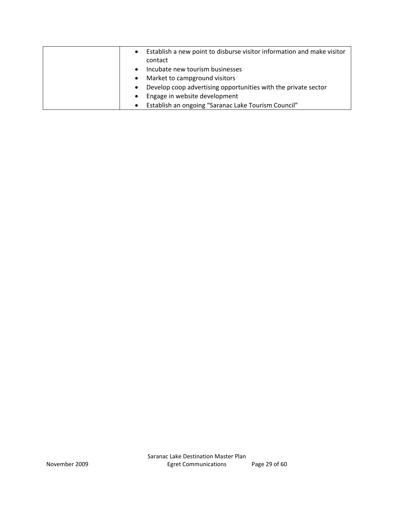| $\bullet$ | Establish a new point to disburse visitor information and make visitor |
|-----------|------------------------------------------------------------------------|
|           | contact                                                                |
| $\bullet$ | Incubate new tourism businesses                                        |
| $\bullet$ | Market to campground visitors                                          |
| $\bullet$ | Develop coop advertising opportunities with the private sector         |
| $\bullet$ | Engage in website development                                          |
| $\bullet$ | Establish an ongoing "Saranac Lake Tourism Council"                    |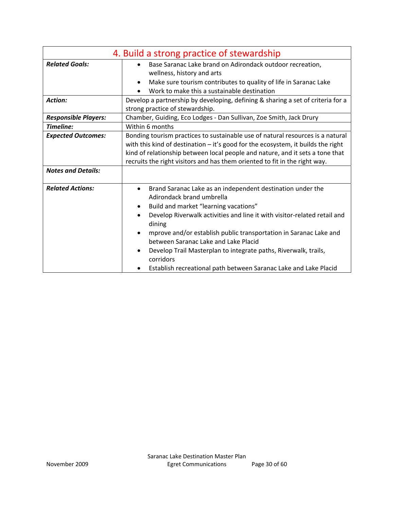| 4. Build a strong practice of stewardship |                                                                                                                                                                                                                                                                                                                                                                                                                                                                                                                                             |
|-------------------------------------------|---------------------------------------------------------------------------------------------------------------------------------------------------------------------------------------------------------------------------------------------------------------------------------------------------------------------------------------------------------------------------------------------------------------------------------------------------------------------------------------------------------------------------------------------|
| <b>Related Goals:</b>                     | Base Saranac Lake brand on Adirondack outdoor recreation,<br>wellness, history and arts<br>Make sure tourism contributes to quality of life in Saranac Lake<br>٠<br>Work to make this a sustainable destination                                                                                                                                                                                                                                                                                                                             |
| <b>Action:</b>                            | Develop a partnership by developing, defining & sharing a set of criteria for a<br>strong practice of stewardship.                                                                                                                                                                                                                                                                                                                                                                                                                          |
| <b>Responsible Players:</b>               | Chamber, Guiding, Eco Lodges - Dan Sullivan, Zoe Smith, Jack Drury                                                                                                                                                                                                                                                                                                                                                                                                                                                                          |
| Timeline:                                 | Within 6 months                                                                                                                                                                                                                                                                                                                                                                                                                                                                                                                             |
| <b>Expected Outcomes:</b>                 | Bonding tourism practices to sustainable use of natural resources is a natural<br>with this kind of destination $-$ it's good for the ecosystem, it builds the right<br>kind of relationship between local people and nature, and it sets a tone that<br>recruits the right visitors and has them oriented to fit in the right way.                                                                                                                                                                                                         |
| <b>Notes and Details:</b>                 |                                                                                                                                                                                                                                                                                                                                                                                                                                                                                                                                             |
| <b>Related Actions:</b>                   | Brand Saranac Lake as an independent destination under the<br>$\bullet$<br>Adirondack brand umbrella<br>Build and market "learning vacations"<br>$\bullet$<br>Develop Riverwalk activities and line it with visitor-related retail and<br>$\bullet$<br>dining<br>mprove and/or establish public transportation in Saranac Lake and<br>$\bullet$<br>between Saranac Lake and Lake Placid<br>Develop Trail Masterplan to integrate paths, Riverwalk, trails,<br>corridors<br>Establish recreational path between Saranac Lake and Lake Placid |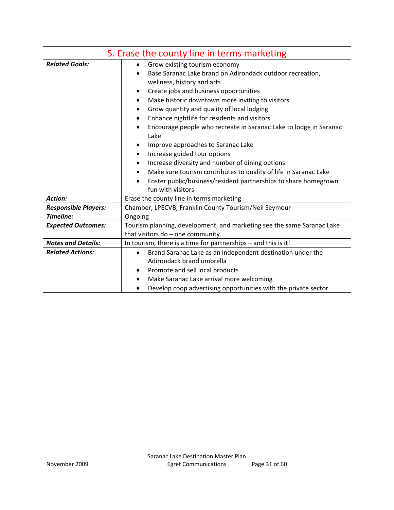|                             | 5. Erase the county line in terms marketing                                                                                                                                                                                                                                                                                                                                                                                                                                                                                                                                                                                                                                                                             |
|-----------------------------|-------------------------------------------------------------------------------------------------------------------------------------------------------------------------------------------------------------------------------------------------------------------------------------------------------------------------------------------------------------------------------------------------------------------------------------------------------------------------------------------------------------------------------------------------------------------------------------------------------------------------------------------------------------------------------------------------------------------------|
| <b>Related Goals:</b>       | Grow existing tourism economy<br>Base Saranac Lake brand on Adirondack outdoor recreation,<br>wellness, history and arts<br>Create jobs and business opportunities<br>٠<br>Make historic downtown more inviting to visitors<br>Grow quantity and quality of local lodging<br>Enhance nightlife for residents and visitors<br>$\bullet$<br>Encourage people who recreate in Saranac Lake to lodge in Saranac<br>$\bullet$<br>Lake<br>Improve approaches to Saranac Lake<br>Increase guided tour options<br>٠<br>Increase diversity and number of dining options<br>٠<br>Make sure tourism contributes to quality of life in Saranac Lake<br>$\bullet$<br>Foster public/business/resident partnerships to share homegrown |
|                             | fun with visitors                                                                                                                                                                                                                                                                                                                                                                                                                                                                                                                                                                                                                                                                                                       |
| <b>Action:</b>              | Erase the county line in terms marketing                                                                                                                                                                                                                                                                                                                                                                                                                                                                                                                                                                                                                                                                                |
| <b>Responsible Players:</b> | Chamber, LPECVB, Franklin County Tourism/Neil Seymour                                                                                                                                                                                                                                                                                                                                                                                                                                                                                                                                                                                                                                                                   |
| Timeline:                   | Ongoing                                                                                                                                                                                                                                                                                                                                                                                                                                                                                                                                                                                                                                                                                                                 |
| <b>Expected Outcomes:</b>   | Tourism planning, development, and marketing see the same Saranac Lake<br>that visitors do - one community.                                                                                                                                                                                                                                                                                                                                                                                                                                                                                                                                                                                                             |
| <b>Notes and Details:</b>   | In tourism, there is a time for partnerships - and this is it!                                                                                                                                                                                                                                                                                                                                                                                                                                                                                                                                                                                                                                                          |
| <b>Related Actions:</b>     | Brand Saranac Lake as an independent destination under the<br>$\bullet$<br>Adirondack brand umbrella<br>Promote and sell local products<br>٠<br>Make Saranac Lake arrival more welcoming<br>$\bullet$<br>Develop coop advertising opportunities with the private sector                                                                                                                                                                                                                                                                                                                                                                                                                                                 |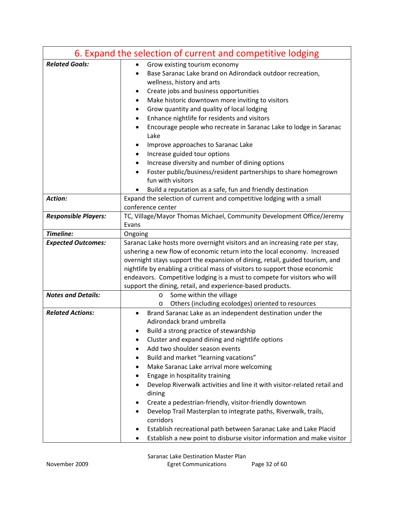|                             | 6. Expand the selection of current and competitive lodging                                                 |
|-----------------------------|------------------------------------------------------------------------------------------------------------|
| <b>Related Goals:</b>       | Grow existing tourism economy<br>Base Saranac Lake brand on Adirondack outdoor recreation,                 |
|                             | wellness, history and arts                                                                                 |
|                             | Create jobs and business opportunities                                                                     |
|                             | Make historic downtown more inviting to visitors                                                           |
|                             | Grow quantity and quality of local lodging<br>٠                                                            |
|                             | Enhance nightlife for residents and visitors                                                               |
|                             | Encourage people who recreate in Saranac Lake to lodge in Saranac<br>Lake                                  |
|                             | Improve approaches to Saranac Lake                                                                         |
|                             | Increase guided tour options                                                                               |
|                             | Increase diversity and number of dining options                                                            |
|                             | Foster public/business/resident partnerships to share homegrown                                            |
|                             | fun with visitors                                                                                          |
|                             | Build a reputation as a safe, fun and friendly destination                                                 |
| Action:                     | Expand the selection of current and competitive lodging with a small                                       |
|                             | conference center                                                                                          |
| <b>Responsible Players:</b> | TC, Village/Mayor Thomas Michael, Community Development Office/Jeremy                                      |
| Timeline:                   | Evans                                                                                                      |
| <b>Expected Outcomes:</b>   | Ongoing<br>Saranac Lake hosts more overnight visitors and an increasing rate per stay,                     |
|                             | ushering a new flow of economic return into the local economy. Increased                                   |
|                             | overnight stays support the expansion of dining, retail, guided tourism, and                               |
|                             | nightlife by enabling a critical mass of visitors to support those economic                                |
|                             | endeavors. Competitive lodging is a must to compete for visitors who will                                  |
|                             | support the dining, retail, and experience-based products.                                                 |
| <b>Notes and Details:</b>   | Some within the village<br>$\circ$                                                                         |
|                             | Others (including ecolodges) oriented to resources<br>$\circ$                                              |
| <b>Related Actions:</b>     | Brand Saranac Lake as an independent destination under the                                                 |
|                             | Adirondack brand umbrella                                                                                  |
|                             | Build a strong practice of stewardship                                                                     |
|                             | Cluster and expand dining and nightlife options                                                            |
|                             | Add two shoulder season events                                                                             |
|                             | Build and market "learning vacations"                                                                      |
|                             | Make Saranac Lake arrival more welcoming                                                                   |
|                             | Engage in hospitality training<br>Develop Riverwalk activities and line it with visitor-related retail and |
|                             | dining                                                                                                     |
|                             | Create a pedestrian-friendly, visitor-friendly downtown                                                    |
|                             | Develop Trail Masterplan to integrate paths, Riverwalk, trails,                                            |
|                             | corridors                                                                                                  |
|                             | Establish recreational path between Saranac Lake and Lake Placid                                           |
|                             | Establish a new point to disburse visitor information and make visitor                                     |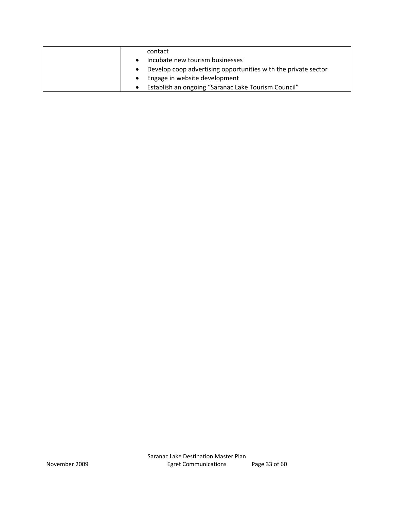| contact                                                        |
|----------------------------------------------------------------|
| Incubate new tourism businesses                                |
| Develop coop advertising opportunities with the private sector |
| Engage in website development                                  |
| Establish an ongoing "Saranac Lake Tourism Council"            |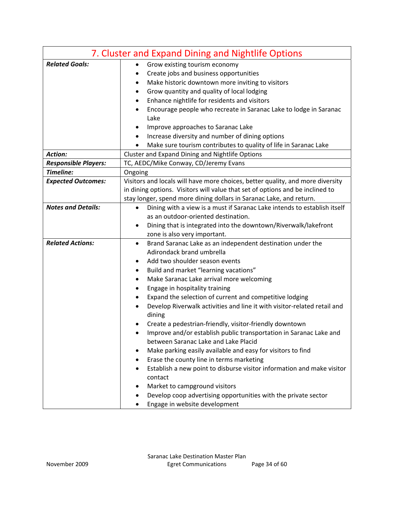|                             | 7. Cluster and Expand Dining and Nightlife Options                                    |
|-----------------------------|---------------------------------------------------------------------------------------|
| <b>Related Goals:</b>       | Grow existing tourism economy                                                         |
|                             | Create jobs and business opportunities                                                |
|                             | Make historic downtown more inviting to visitors                                      |
|                             | Grow quantity and quality of local lodging                                            |
|                             | Enhance nightlife for residents and visitors                                          |
|                             | Encourage people who recreate in Saranac Lake to lodge in Saranac<br>Lake             |
|                             | Improve approaches to Saranac Lake                                                    |
|                             | Increase diversity and number of dining options                                       |
|                             | Make sure tourism contributes to quality of life in Saranac Lake                      |
| <b>Action:</b>              | Cluster and Expand Dining and Nightlife Options                                       |
| <b>Responsible Players:</b> | TC, AEDC/Mike Conway, CD/Jeremy Evans                                                 |
| Timeline:                   | Ongoing                                                                               |
| <b>Expected Outcomes:</b>   | Visitors and locals will have more choices, better quality, and more diversity        |
|                             | in dining options. Visitors will value that set of options and be inclined to         |
|                             | stay longer, spend more dining dollars in Saranac Lake, and return.                   |
| <b>Notes and Details:</b>   | Dining with a view is a must if Saranac Lake intends to establish itself<br>$\bullet$ |
|                             | as an outdoor-oriented destination.                                                   |
|                             | Dining that is integrated into the downtown/Riverwalk/lakefront<br>٠                  |
|                             | zone is also very important.                                                          |
| <b>Related Actions:</b>     | Brand Saranac Lake as an independent destination under the                            |
|                             | Adirondack brand umbrella                                                             |
|                             | Add two shoulder season events                                                        |
|                             | Build and market "learning vacations"                                                 |
|                             | Make Saranac Lake arrival more welcoming                                              |
|                             | Engage in hospitality training                                                        |
|                             | Expand the selection of current and competitive lodging                               |
|                             | Develop Riverwalk activities and line it with visitor-related retail and<br>dining    |
|                             | Create a pedestrian-friendly, visitor-friendly downtown                               |
|                             | Improve and/or establish public transportation in Saranac Lake and                    |
|                             | between Saranac Lake and Lake Placid                                                  |
|                             | Make parking easily available and easy for visitors to find                           |
|                             | Erase the county line in terms marketing<br>٠                                         |
|                             | Establish a new point to disburse visitor information and make visitor<br>contact     |
|                             | Market to campground visitors                                                         |
|                             | Develop coop advertising opportunities with the private sector                        |
|                             | Engage in website development                                                         |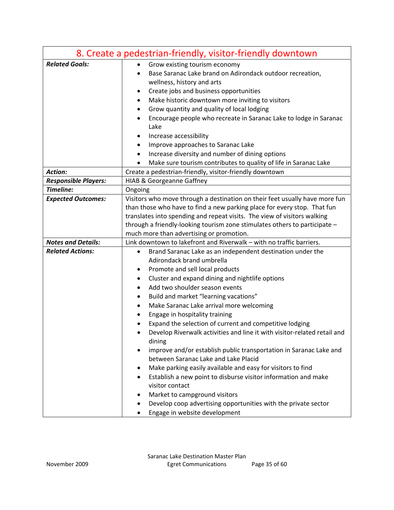|                             | 8. Create a pedestrian-friendly, visitor-friendly downtown                                                      |
|-----------------------------|-----------------------------------------------------------------------------------------------------------------|
| <b>Related Goals:</b>       | Grow existing tourism economy<br>٠                                                                              |
|                             | Base Saranac Lake brand on Adirondack outdoor recreation,                                                       |
|                             | wellness, history and arts                                                                                      |
|                             | Create jobs and business opportunities<br>٠                                                                     |
|                             | Make historic downtown more inviting to visitors<br>٠                                                           |
|                             | Grow quantity and quality of local lodging<br>٠                                                                 |
|                             | Encourage people who recreate in Saranac Lake to lodge in Saranac<br>٠                                          |
|                             | Lake                                                                                                            |
|                             | Increase accessibility                                                                                          |
|                             | Improve approaches to Saranac Lake<br>٠                                                                         |
|                             | Increase diversity and number of dining options<br>٠                                                            |
|                             | Make sure tourism contributes to quality of life in Saranac Lake                                                |
| Action:                     | Create a pedestrian-friendly, visitor-friendly downtown                                                         |
| <b>Responsible Players:</b> | <b>HIAB &amp; Georgeanne Gaffney</b>                                                                            |
| Timeline:                   | Ongoing                                                                                                         |
| <b>Expected Outcomes:</b>   | Visitors who move through a destination on their feet usually have more fun                                     |
|                             | than those who have to find a new parking place for every stop. That fun                                        |
|                             | translates into spending and repeat visits. The view of visitors walking                                        |
|                             | through a friendly-looking tourism zone stimulates others to participate -                                      |
|                             | much more than advertising or promotion.                                                                        |
| <b>Notes and Details:</b>   | Link downtown to lakefront and Riverwalk - with no traffic barriers.                                            |
| <b>Related Actions:</b>     | Brand Saranac Lake as an independent destination under the                                                      |
|                             | Adirondack brand umbrella                                                                                       |
|                             | Promote and sell local products<br>٠                                                                            |
|                             | Cluster and expand dining and nightlife options<br>٠                                                            |
|                             | Add two shoulder season events<br>٠                                                                             |
|                             | Build and market "learning vacations"<br>٠                                                                      |
|                             | Make Saranac Lake arrival more welcoming                                                                        |
|                             | Engage in hospitality training                                                                                  |
|                             | Expand the selection of current and competitive lodging                                                         |
|                             | Develop Riverwalk activities and line it with visitor-related retail and<br>dining                              |
|                             | improve and/or establish public transportation in Saranac Lake and<br>٠<br>between Saranac Lake and Lake Placid |
|                             | Make parking easily available and easy for visitors to find<br>٠                                                |
|                             | Establish a new point to disburse visitor information and make<br>٠                                             |
|                             | visitor contact                                                                                                 |
|                             | Market to campground visitors<br>٠                                                                              |
|                             | Develop coop advertising opportunities with the private sector                                                  |
|                             | Engage in website development                                                                                   |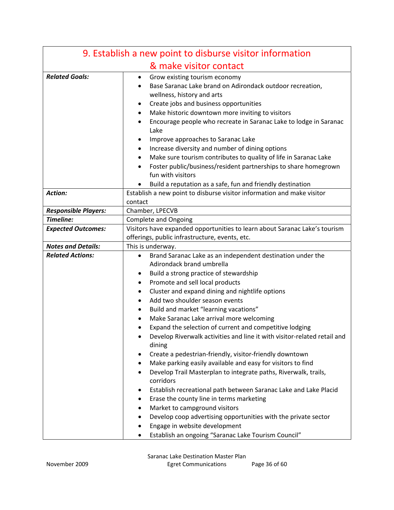| 9. Establish a new point to disburse visitor information |                                                                                    |
|----------------------------------------------------------|------------------------------------------------------------------------------------|
|                                                          | & make visitor contact                                                             |
| <b>Related Goals:</b>                                    | Grow existing tourism economy                                                      |
|                                                          | Base Saranac Lake brand on Adirondack outdoor recreation,                          |
|                                                          | wellness, history and arts                                                         |
|                                                          | Create jobs and business opportunities                                             |
|                                                          | Make historic downtown more inviting to visitors                                   |
|                                                          | Encourage people who recreate in Saranac Lake to lodge in Saranac                  |
|                                                          | Lake                                                                               |
|                                                          | Improve approaches to Saranac Lake                                                 |
|                                                          | Increase diversity and number of dining options                                    |
|                                                          | Make sure tourism contributes to quality of life in Saranac Lake<br>٠              |
|                                                          | Foster public/business/resident partnerships to share homegrown                    |
|                                                          | fun with visitors                                                                  |
|                                                          | Build a reputation as a safe, fun and friendly destination                         |
| Action:                                                  | Establish a new point to disburse visitor information and make visitor             |
|                                                          | contact                                                                            |
| <b>Responsible Players:</b>                              | Chamber, LPECVB                                                                    |
| Timeline:                                                | <b>Complete and Ongoing</b>                                                        |
| <b>Expected Outcomes:</b>                                | Visitors have expanded opportunities to learn about Saranac Lake's tourism         |
|                                                          | offerings, public infrastructure, events, etc.                                     |
| <b>Notes and Details:</b>                                | This is underway.                                                                  |
| <b>Related Actions:</b>                                  | Brand Saranac Lake as an independent destination under the<br>$\bullet$            |
|                                                          | Adirondack brand umbrella                                                          |
|                                                          | Build a strong practice of stewardship                                             |
|                                                          | Promote and sell local products                                                    |
|                                                          | Cluster and expand dining and nightlife options                                    |
|                                                          | Add two shoulder season events                                                     |
|                                                          | Build and market "learning vacations"                                              |
|                                                          | Make Saranac Lake arrival more welcoming                                           |
|                                                          | Expand the selection of current and competitive lodging                            |
|                                                          | Develop Riverwalk activities and line it with visitor-related retail and<br>dining |
|                                                          | Create a pedestrian-friendly, visitor-friendly downtown                            |
|                                                          | Make parking easily available and easy for visitors to find                        |
|                                                          | Develop Trail Masterplan to integrate paths, Riverwalk, trails,                    |
|                                                          | corridors                                                                          |
|                                                          | Establish recreational path between Saranac Lake and Lake Placid                   |
|                                                          | Erase the county line in terms marketing                                           |
|                                                          | Market to campground visitors                                                      |
|                                                          | Develop coop advertising opportunities with the private sector                     |
|                                                          | Engage in website development                                                      |
|                                                          | Establish an ongoing "Saranac Lake Tourism Council"                                |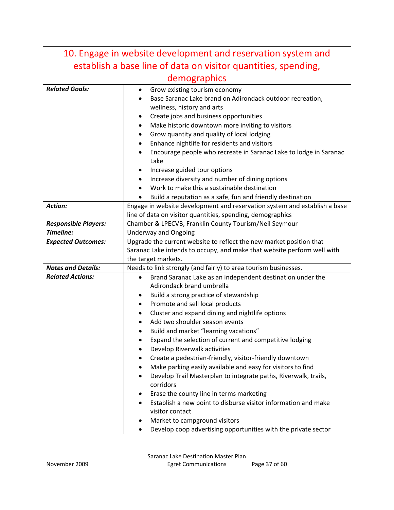| 10. Engage in website development and reservation system and   |                                                                                                                                                                                                                                                                                                                                                                                                                                                                                                                                                                                                                                                                            |  |
|----------------------------------------------------------------|----------------------------------------------------------------------------------------------------------------------------------------------------------------------------------------------------------------------------------------------------------------------------------------------------------------------------------------------------------------------------------------------------------------------------------------------------------------------------------------------------------------------------------------------------------------------------------------------------------------------------------------------------------------------------|--|
| establish a base line of data on visitor quantities, spending, |                                                                                                                                                                                                                                                                                                                                                                                                                                                                                                                                                                                                                                                                            |  |
| demographics                                                   |                                                                                                                                                                                                                                                                                                                                                                                                                                                                                                                                                                                                                                                                            |  |
| <b>Related Goals:</b>                                          | Grow existing tourism economy<br>٠<br>Base Saranac Lake brand on Adirondack outdoor recreation,<br>wellness, history and arts<br>Create jobs and business opportunities<br>٠<br>Make historic downtown more inviting to visitors<br>$\bullet$<br>Grow quantity and quality of local lodging<br>Enhance nightlife for residents and visitors<br>Encourage people who recreate in Saranac Lake to lodge in Saranac<br>$\bullet$<br>Lake<br>Increase guided tour options<br>Increase diversity and number of dining options                                                                                                                                                   |  |
|                                                                | Work to make this a sustainable destination                                                                                                                                                                                                                                                                                                                                                                                                                                                                                                                                                                                                                                |  |
|                                                                | Build a reputation as a safe, fun and friendly destination                                                                                                                                                                                                                                                                                                                                                                                                                                                                                                                                                                                                                 |  |
| <b>Action:</b>                                                 | Engage in website development and reservation system and establish a base<br>line of data on visitor quantities, spending, demographics                                                                                                                                                                                                                                                                                                                                                                                                                                                                                                                                    |  |
| <b>Responsible Players:</b>                                    | Chamber & LPECVB, Franklin County Tourism/Neil Seymour                                                                                                                                                                                                                                                                                                                                                                                                                                                                                                                                                                                                                     |  |
| Timeline:                                                      | <b>Underway and Ongoing</b>                                                                                                                                                                                                                                                                                                                                                                                                                                                                                                                                                                                                                                                |  |
| <b>Expected Outcomes:</b>                                      | Upgrade the current website to reflect the new market position that                                                                                                                                                                                                                                                                                                                                                                                                                                                                                                                                                                                                        |  |
|                                                                | Saranac Lake intends to occupy, and make that website perform well with                                                                                                                                                                                                                                                                                                                                                                                                                                                                                                                                                                                                    |  |
|                                                                | the target markets.                                                                                                                                                                                                                                                                                                                                                                                                                                                                                                                                                                                                                                                        |  |
| <b>Notes and Details:</b>                                      | Needs to link strongly (and fairly) to area tourism businesses.                                                                                                                                                                                                                                                                                                                                                                                                                                                                                                                                                                                                            |  |
| <b>Related Actions:</b>                                        | Brand Saranac Lake as an independent destination under the<br>$\bullet$<br>Adirondack brand umbrella<br>Build a strong practice of stewardship<br>٠<br>Promote and sell local products<br>٠<br>Cluster and expand dining and nightlife options<br>Add two shoulder season events<br>Build and market "learning vacations"<br>Expand the selection of current and competitive lodging<br>Develop Riverwalk activities<br>Create a pedestrian-friendly, visitor-friendly downtown<br>Make parking easily available and easy for visitors to find<br>Develop Trail Masterplan to integrate paths, Riverwalk, trails,<br>corridors<br>Erase the county line in terms marketing |  |
|                                                                | Establish a new point to disburse visitor information and make<br>visitor contact<br>Market to campground visitors<br>Develop coop advertising opportunities with the private sector                                                                                                                                                                                                                                                                                                                                                                                                                                                                                       |  |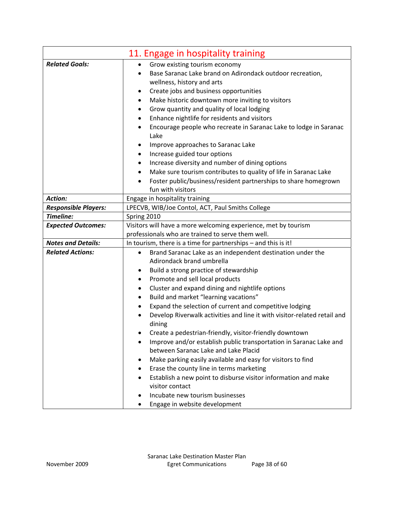| 11. Engage in hospitality training |                                                                                                                 |  |
|------------------------------------|-----------------------------------------------------------------------------------------------------------------|--|
| <b>Related Goals:</b>              | Grow existing tourism economy<br>٠                                                                              |  |
|                                    | Base Saranac Lake brand on Adirondack outdoor recreation,                                                       |  |
|                                    | wellness, history and arts                                                                                      |  |
|                                    | Create jobs and business opportunities<br>$\bullet$                                                             |  |
|                                    | Make historic downtown more inviting to visitors<br>٠                                                           |  |
|                                    | Grow quantity and quality of local lodging<br>٠                                                                 |  |
|                                    | Enhance nightlife for residents and visitors<br>$\bullet$                                                       |  |
|                                    | Encourage people who recreate in Saranac Lake to lodge in Saranac                                               |  |
|                                    | Lake                                                                                                            |  |
|                                    | Improve approaches to Saranac Lake                                                                              |  |
|                                    | Increase guided tour options<br>٠                                                                               |  |
|                                    | Increase diversity and number of dining options<br>٠                                                            |  |
|                                    | Make sure tourism contributes to quality of life in Saranac Lake<br>$\bullet$                                   |  |
|                                    | Foster public/business/resident partnerships to share homegrown                                                 |  |
|                                    | fun with visitors                                                                                               |  |
| <b>Action:</b>                     | Engage in hospitality training                                                                                  |  |
| <b>Responsible Players:</b>        | LPECVB, WIB/Joe Contol, ACT, Paul Smiths College                                                                |  |
| Timeline:                          | Spring 2010                                                                                                     |  |
| <b>Expected Outcomes:</b>          | Visitors will have a more welcoming experience, met by tourism                                                  |  |
|                                    | professionals who are trained to serve them well.                                                               |  |
| <b>Notes and Details:</b>          | In tourism, there is a time for partnerships - and this is it!                                                  |  |
| <b>Related Actions:</b>            | Brand Saranac Lake as an independent destination under the<br>$\bullet$                                         |  |
|                                    | Adirondack brand umbrella                                                                                       |  |
|                                    | Build a strong practice of stewardship<br>٠                                                                     |  |
|                                    | Promote and sell local products<br>٠                                                                            |  |
|                                    | Cluster and expand dining and nightlife options<br>٠                                                            |  |
|                                    | Build and market "learning vacations"<br>٠                                                                      |  |
|                                    | Expand the selection of current and competitive lodging                                                         |  |
|                                    | Develop Riverwalk activities and line it with visitor-related retail and                                        |  |
|                                    | dining                                                                                                          |  |
|                                    | Create a pedestrian-friendly, visitor-friendly downtown                                                         |  |
|                                    | Improve and/or establish public transportation in Saranac Lake and<br>٠<br>between Saranac Lake and Lake Placid |  |
|                                    |                                                                                                                 |  |
|                                    | Make parking easily available and easy for visitors to find                                                     |  |
|                                    | Erase the county line in terms marketing                                                                        |  |
|                                    | Establish a new point to disburse visitor information and make<br>٠<br>visitor contact                          |  |
|                                    | Incubate new tourism businesses                                                                                 |  |
|                                    |                                                                                                                 |  |
|                                    | Engage in website development                                                                                   |  |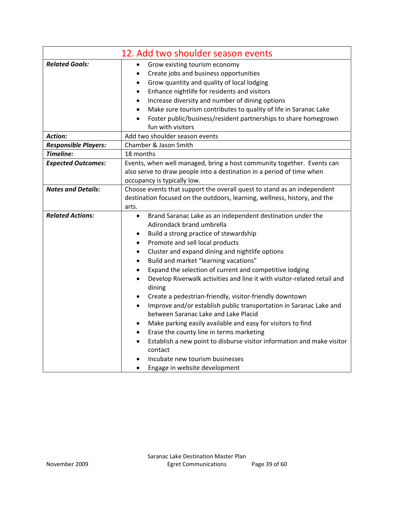|                             | 12. Add two shoulder season events                                                              |  |
|-----------------------------|-------------------------------------------------------------------------------------------------|--|
| <b>Related Goals:</b>       | Grow existing tourism economy<br>$\bullet$                                                      |  |
|                             | Create jobs and business opportunities<br>٠                                                     |  |
|                             | Grow quantity and quality of local lodging<br>٠                                                 |  |
|                             | Enhance nightlife for residents and visitors<br>$\bullet$                                       |  |
|                             | Increase diversity and number of dining options<br>$\bullet$                                    |  |
|                             | Make sure tourism contributes to quality of life in Saranac Lake<br>$\bullet$                   |  |
|                             | Foster public/business/resident partnerships to share homegrown<br>$\bullet$                    |  |
|                             | fun with visitors                                                                               |  |
| <b>Action:</b>              | Add two shoulder season events                                                                  |  |
| <b>Responsible Players:</b> | Chamber & Jason Smith                                                                           |  |
| Timeline:                   | 18 months                                                                                       |  |
| <b>Expected Outcomes:</b>   | Events, when well managed, bring a host community together. Events can                          |  |
|                             | also serve to draw people into a destination in a period of time when                           |  |
|                             | occupancy is typically low.                                                                     |  |
| <b>Notes and Details:</b>   | Choose events that support the overall quest to stand as an independent                         |  |
|                             | destination focused on the outdoors, learning, wellness, history, and the                       |  |
|                             | arts.                                                                                           |  |
| <b>Related Actions:</b>     | Brand Saranac Lake as an independent destination under the<br>$\bullet$                         |  |
|                             | Adirondack brand umbrella                                                                       |  |
|                             | Build a strong practice of stewardship                                                          |  |
|                             | Promote and sell local products<br>$\bullet$                                                    |  |
|                             | Cluster and expand dining and nightlife options<br>٠                                            |  |
|                             | Build and market "learning vacations"<br>٠                                                      |  |
|                             | Expand the selection of current and competitive lodging<br>$\bullet$                            |  |
|                             | Develop Riverwalk activities and line it with visitor-related retail and<br>$\bullet$<br>dining |  |
|                             | Create a pedestrian-friendly, visitor-friendly downtown<br>$\bullet$                            |  |
|                             | Improve and/or establish public transportation in Saranac Lake and<br>$\bullet$                 |  |
|                             | between Saranac Lake and Lake Placid                                                            |  |
|                             | Make parking easily available and easy for visitors to find<br>$\bullet$                        |  |
|                             | Erase the county line in terms marketing<br>$\bullet$                                           |  |
|                             | Establish a new point to disburse visitor information and make visitor<br>$\bullet$<br>contact  |  |
|                             | Incubate new tourism businesses                                                                 |  |
|                             | Engage in website development                                                                   |  |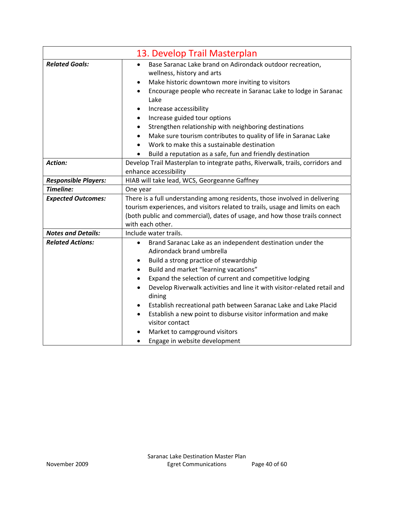|                             | 13. Develop Trail Masterplan                                                          |
|-----------------------------|---------------------------------------------------------------------------------------|
| <b>Related Goals:</b>       | Base Saranac Lake brand on Adirondack outdoor recreation,                             |
|                             | wellness, history and arts                                                            |
|                             | Make historic downtown more inviting to visitors<br>٠                                 |
|                             | Encourage people who recreate in Saranac Lake to lodge in Saranac<br>Lake             |
|                             | Increase accessibility<br>٠                                                           |
|                             | Increase guided tour options<br>٠                                                     |
|                             | Strengthen relationship with neighboring destinations<br>٠                            |
|                             | Make sure tourism contributes to quality of life in Saranac Lake<br>$\bullet$         |
|                             | Work to make this a sustainable destination<br>$\bullet$                              |
|                             | Build a reputation as a safe, fun and friendly destination                            |
| <b>Action:</b>              | Develop Trail Masterplan to integrate paths, Riverwalk, trails, corridors and         |
|                             | enhance accessibility                                                                 |
| <b>Responsible Players:</b> | HIAB will take lead, WCS, Georgeanne Gaffney                                          |
| Timeline:                   | One year                                                                              |
| <b>Expected Outcomes:</b>   | There is a full understanding among residents, those involved in delivering           |
|                             | tourism experiences, and visitors related to trails, usage and limits on each         |
|                             | (both public and commercial), dates of usage, and how those trails connect            |
|                             | with each other.                                                                      |
| <b>Notes and Details:</b>   | Include water trails.                                                                 |
| <b>Related Actions:</b>     | Brand Saranac Lake as an independent destination under the<br>$\bullet$               |
|                             | Adirondack brand umbrella                                                             |
|                             | Build a strong practice of stewardship<br>$\bullet$                                   |
|                             | Build and market "learning vacations"<br>$\bullet$                                    |
|                             | Expand the selection of current and competitive lodging<br>$\bullet$                  |
|                             | Develop Riverwalk activities and line it with visitor-related retail and<br>$\bullet$ |
|                             | dining                                                                                |
|                             | Establish recreational path between Saranac Lake and Lake Placid<br>٠                 |
|                             | Establish a new point to disburse visitor information and make<br>$\bullet$           |
|                             | visitor contact                                                                       |
|                             | Market to campground visitors                                                         |
|                             | Engage in website development<br>$\bullet$                                            |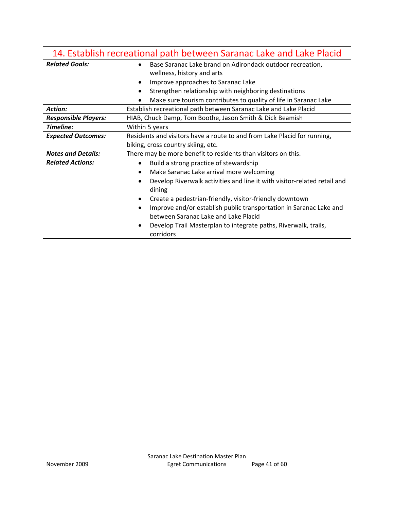| 14. Establish recreational path between Saranac Lake and Lake Placid |                                                                                                                                                                                                                                                                                                                                                                                                                                                                          |
|----------------------------------------------------------------------|--------------------------------------------------------------------------------------------------------------------------------------------------------------------------------------------------------------------------------------------------------------------------------------------------------------------------------------------------------------------------------------------------------------------------------------------------------------------------|
| <b>Related Goals:</b>                                                | Base Saranac Lake brand on Adirondack outdoor recreation,<br>wellness, history and arts<br>Improve approaches to Saranac Lake<br>$\bullet$<br>Strengthen relationship with neighboring destinations<br>$\bullet$<br>Make sure tourism contributes to quality of life in Saranac Lake                                                                                                                                                                                     |
| Action:                                                              | Establish recreational path between Saranac Lake and Lake Placid                                                                                                                                                                                                                                                                                                                                                                                                         |
| <b>Responsible Players:</b>                                          | HIAB, Chuck Damp, Tom Boothe, Jason Smith & Dick Beamish                                                                                                                                                                                                                                                                                                                                                                                                                 |
| Timeline:                                                            | Within 5 years                                                                                                                                                                                                                                                                                                                                                                                                                                                           |
| <b>Expected Outcomes:</b>                                            | Residents and visitors have a route to and from Lake Placid for running,<br>biking, cross country skiing, etc.                                                                                                                                                                                                                                                                                                                                                           |
| <b>Notes and Details:</b>                                            | There may be more benefit to residents than visitors on this.                                                                                                                                                                                                                                                                                                                                                                                                            |
| <b>Related Actions:</b>                                              | Build a strong practice of stewardship<br>$\bullet$<br>Make Saranac Lake arrival more welcoming<br>Develop Riverwalk activities and line it with visitor-related retail and<br>$\bullet$<br>dining<br>Create a pedestrian-friendly, visitor-friendly downtown<br>Improve and/or establish public transportation in Saranac Lake and<br>between Saranac Lake and Lake Placid<br>Develop Trail Masterplan to integrate paths, Riverwalk, trails,<br>$\bullet$<br>corridors |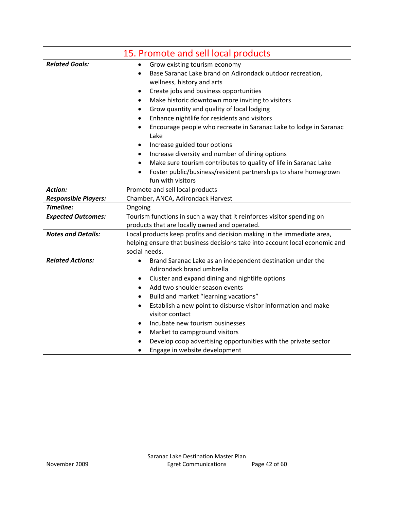|                             | 15. Promote and sell local products                                                            |
|-----------------------------|------------------------------------------------------------------------------------------------|
| <b>Related Goals:</b>       | Grow existing tourism economy<br>$\bullet$                                                     |
|                             | Base Saranac Lake brand on Adirondack outdoor recreation,<br>$\bullet$                         |
|                             | wellness, history and arts                                                                     |
|                             | Create jobs and business opportunities<br>٠                                                    |
|                             | Make historic downtown more inviting to visitors<br>$\bullet$                                  |
|                             | Grow quantity and quality of local lodging<br>$\bullet$                                        |
|                             | Enhance nightlife for residents and visitors<br>$\bullet$                                      |
|                             | Encourage people who recreate in Saranac Lake to lodge in Saranac<br>$\bullet$                 |
|                             | Lake                                                                                           |
|                             | Increase guided tour options<br>٠                                                              |
|                             | Increase diversity and number of dining options<br>$\bullet$                                   |
|                             | Make sure tourism contributes to quality of life in Saranac Lake<br>$\bullet$                  |
|                             | Foster public/business/resident partnerships to share homegrown                                |
|                             | fun with visitors                                                                              |
| <b>Action:</b>              | Promote and sell local products                                                                |
| <b>Responsible Players:</b> | Chamber, ANCA, Adirondack Harvest                                                              |
| Timeline:                   | Ongoing                                                                                        |
| <b>Expected Outcomes:</b>   | Tourism functions in such a way that it reinforces visitor spending on                         |
|                             | products that are locally owned and operated.                                                  |
| <b>Notes and Details:</b>   | Local products keep profits and decision making in the immediate area,                         |
|                             | helping ensure that business decisions take into account local economic and                    |
|                             | social needs.                                                                                  |
| <b>Related Actions:</b>     | Brand Saranac Lake as an independent destination under the<br>$\bullet$                        |
|                             | Adirondack brand umbrella                                                                      |
|                             | Cluster and expand dining and nightlife options<br>$\bullet$                                   |
|                             | Add two shoulder season events<br>$\bullet$                                                    |
|                             | Build and market "learning vacations"<br>$\bullet$                                             |
|                             | Establish a new point to disburse visitor information and make<br>$\bullet$<br>visitor contact |
|                             | Incubate new tourism businesses<br>$\bullet$                                                   |
|                             | Market to campground visitors<br>$\bullet$                                                     |
|                             | Develop coop advertising opportunities with the private sector                                 |
|                             | Engage in website development                                                                  |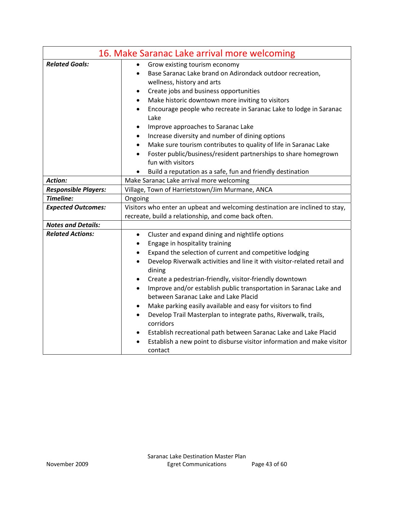| 16. Make Saranac Lake arrival more welcoming |                                                                                                      |  |
|----------------------------------------------|------------------------------------------------------------------------------------------------------|--|
| <b>Related Goals:</b>                        | Grow existing tourism economy                                                                        |  |
|                                              | Base Saranac Lake brand on Adirondack outdoor recreation,<br>$\bullet$<br>wellness, history and arts |  |
|                                              | Create jobs and business opportunities<br>$\bullet$                                                  |  |
|                                              | Make historic downtown more inviting to visitors<br>$\bullet$                                        |  |
|                                              | Encourage people who recreate in Saranac Lake to lodge in Saranac<br>$\bullet$<br>Lake               |  |
|                                              | Improve approaches to Saranac Lake<br>$\bullet$                                                      |  |
|                                              | Increase diversity and number of dining options<br>$\bullet$                                         |  |
|                                              | Make sure tourism contributes to quality of life in Saranac Lake<br>$\bullet$                        |  |
|                                              | Foster public/business/resident partnerships to share homegrown<br>$\bullet$                         |  |
|                                              | fun with visitors                                                                                    |  |
|                                              | Build a reputation as a safe, fun and friendly destination                                           |  |
| Action:                                      | Make Saranac Lake arrival more welcoming                                                             |  |
| <b>Responsible Players:</b>                  | Village, Town of Harrietstown/Jim Murmane, ANCA                                                      |  |
| Timeline:                                    | Ongoing                                                                                              |  |
| <b>Expected Outcomes:</b>                    | Visitors who enter an upbeat and welcoming destination are inclined to stay,                         |  |
|                                              | recreate, build a relationship, and come back often.                                                 |  |
| <b>Notes and Details:</b>                    |                                                                                                      |  |
| <b>Related Actions:</b>                      | Cluster and expand dining and nightlife options<br>$\bullet$                                         |  |
|                                              | Engage in hospitality training<br>$\bullet$                                                          |  |
|                                              | Expand the selection of current and competitive lodging<br>$\bullet$                                 |  |
|                                              | Develop Riverwalk activities and line it with visitor-related retail and<br>$\bullet$<br>dining      |  |
|                                              | Create a pedestrian-friendly, visitor-friendly downtown<br>$\bullet$                                 |  |
|                                              | Improve and/or establish public transportation in Saranac Lake and<br>$\bullet$                      |  |
|                                              | between Saranac Lake and Lake Placid                                                                 |  |
|                                              | Make parking easily available and easy for visitors to find                                          |  |
|                                              | Develop Trail Masterplan to integrate paths, Riverwalk, trails,<br>$\bullet$<br>corridors            |  |
|                                              | Establish recreational path between Saranac Lake and Lake Placid<br>٠                                |  |
|                                              | Establish a new point to disburse visitor information and make visitor<br>$\bullet$                  |  |
|                                              | contact                                                                                              |  |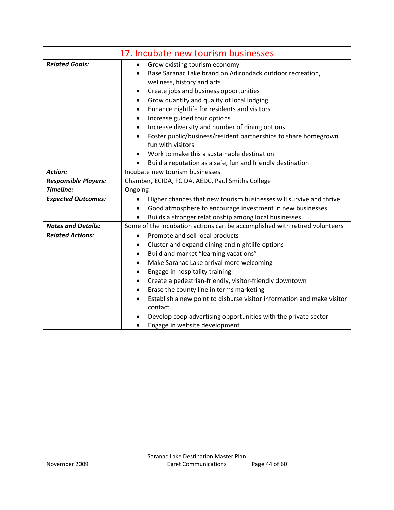|                             | 17. Incubate new tourism businesses                                                            |
|-----------------------------|------------------------------------------------------------------------------------------------|
| <b>Related Goals:</b>       | Grow existing tourism economy<br>$\bullet$                                                     |
|                             | Base Saranac Lake brand on Adirondack outdoor recreation,                                      |
|                             | wellness, history and arts                                                                     |
|                             | Create jobs and business opportunities<br>٠                                                    |
|                             | Grow quantity and quality of local lodging<br>$\bullet$                                        |
|                             | Enhance nightlife for residents and visitors<br>٠                                              |
|                             | Increase guided tour options<br>$\bullet$                                                      |
|                             | Increase diversity and number of dining options<br>٠                                           |
|                             | Foster public/business/resident partnerships to share homegrown<br>$\bullet$                   |
|                             | fun with visitors                                                                              |
|                             | Work to make this a sustainable destination                                                    |
|                             | Build a reputation as a safe, fun and friendly destination                                     |
| <b>Action:</b>              | Incubate new tourism businesses                                                                |
| <b>Responsible Players:</b> | Chamber, ECIDA, FCIDA, AEDC, Paul Smiths College                                               |
| Timeline:                   | Ongoing                                                                                        |
| <b>Expected Outcomes:</b>   | Higher chances that new tourism businesses will survive and thrive<br>$\bullet$                |
|                             | Good atmosphere to encourage investment in new businesses                                      |
|                             | Builds a stronger relationship among local businesses                                          |
| <b>Notes and Details:</b>   | Some of the incubation actions can be accomplished with retired volunteers                     |
| <b>Related Actions:</b>     | Promote and sell local products<br>$\bullet$                                                   |
|                             | Cluster and expand dining and nightlife options<br>٠                                           |
|                             | Build and market "learning vacations"<br>٠                                                     |
|                             | Make Saranac Lake arrival more welcoming<br>$\bullet$                                          |
|                             | Engage in hospitality training<br>٠                                                            |
|                             | Create a pedestrian-friendly, visitor-friendly downtown<br>$\bullet$                           |
|                             | Erase the county line in terms marketing<br>$\bullet$                                          |
|                             | Establish a new point to disburse visitor information and make visitor<br>$\bullet$<br>contact |
|                             | Develop coop advertising opportunities with the private sector                                 |
|                             | Engage in website development                                                                  |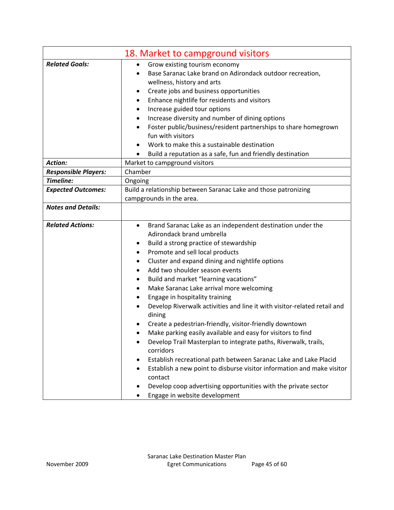|                             | 18. Market to campground visitors                                                  |
|-----------------------------|------------------------------------------------------------------------------------|
| <b>Related Goals:</b>       | Grow existing tourism economy<br>$\bullet$                                         |
|                             | Base Saranac Lake brand on Adirondack outdoor recreation,<br>$\bullet$             |
|                             | wellness, history and arts                                                         |
|                             | Create jobs and business opportunities<br>٠                                        |
|                             | Enhance nightlife for residents and visitors<br>٠                                  |
|                             | Increase guided tour options<br>٠                                                  |
|                             | Increase diversity and number of dining options<br>٠                               |
|                             | Foster public/business/resident partnerships to share homegrown                    |
|                             | fun with visitors                                                                  |
|                             | Work to make this a sustainable destination                                        |
|                             | Build a reputation as a safe, fun and friendly destination                         |
| <b>Action:</b>              | Market to campground visitors                                                      |
| <b>Responsible Players:</b> | Chamber                                                                            |
| Timeline:                   | Ongoing                                                                            |
| <b>Expected Outcomes:</b>   | Build a relationship between Saranac Lake and those patronizing                    |
|                             | campgrounds in the area.                                                           |
| <b>Notes and Details:</b>   |                                                                                    |
| <b>Related Actions:</b>     | Brand Saranac Lake as an independent destination under the<br>$\bullet$            |
|                             | Adirondack brand umbrella                                                          |
|                             | Build a strong practice of stewardship<br>٠                                        |
|                             | Promote and sell local products<br>٠                                               |
|                             | Cluster and expand dining and nightlife options<br>٠                               |
|                             | Add two shoulder season events<br>$\bullet$                                        |
|                             | Build and market "learning vacations"<br>٠                                         |
|                             | Make Saranac Lake arrival more welcoming<br>٠                                      |
|                             | Engage in hospitality training                                                     |
|                             | Develop Riverwalk activities and line it with visitor-related retail and<br>dining |
|                             | Create a pedestrian-friendly, visitor-friendly downtown                            |
|                             | Make parking easily available and easy for visitors to find                        |
|                             | Develop Trail Masterplan to integrate paths, Riverwalk, trails,                    |
|                             | corridors                                                                          |
|                             | Establish recreational path between Saranac Lake and Lake Placid                   |
|                             | Establish a new point to disburse visitor information and make visitor<br>contact  |
|                             | Develop coop advertising opportunities with the private sector                     |
|                             | Engage in website development                                                      |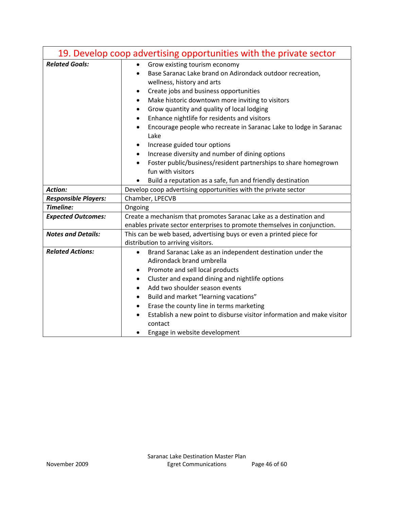|                             | 19. Develop coop advertising opportunities with the private sector                |  |
|-----------------------------|-----------------------------------------------------------------------------------|--|
| <b>Related Goals:</b>       | Grow existing tourism economy<br>$\bullet$                                        |  |
|                             | Base Saranac Lake brand on Adirondack outdoor recreation,                         |  |
|                             | wellness, history and arts                                                        |  |
|                             | Create jobs and business opportunities<br>$\bullet$                               |  |
|                             | Make historic downtown more inviting to visitors<br>$\bullet$                     |  |
|                             | Grow quantity and quality of local lodging<br>$\bullet$                           |  |
|                             | Enhance nightlife for residents and visitors<br>$\bullet$                         |  |
|                             | Encourage people who recreate in Saranac Lake to lodge in Saranac                 |  |
|                             | Lake                                                                              |  |
|                             | Increase guided tour options<br>٠                                                 |  |
|                             | Increase diversity and number of dining options<br>$\bullet$                      |  |
|                             | Foster public/business/resident partnerships to share homegrown                   |  |
|                             | fun with visitors                                                                 |  |
|                             | Build a reputation as a safe, fun and friendly destination                        |  |
| <b>Action:</b>              | Develop coop advertising opportunities with the private sector                    |  |
| <b>Responsible Players:</b> | Chamber, LPECVB                                                                   |  |
| Timeline:                   | Ongoing                                                                           |  |
| <b>Expected Outcomes:</b>   | Create a mechanism that promotes Saranac Lake as a destination and                |  |
|                             | enables private sector enterprises to promote themselves in conjunction.          |  |
| <b>Notes and Details:</b>   | This can be web based, advertising buys or even a printed piece for               |  |
|                             | distribution to arriving visitors.                                                |  |
| <b>Related Actions:</b>     | Brand Saranac Lake as an independent destination under the                        |  |
|                             | Adirondack brand umbrella                                                         |  |
|                             | Promote and sell local products<br>$\bullet$                                      |  |
|                             | Cluster and expand dining and nightlife options<br>$\bullet$                      |  |
|                             | Add two shoulder season events<br>$\bullet$                                       |  |
|                             | Build and market "learning vacations"<br>$\bullet$                                |  |
|                             | Erase the county line in terms marketing<br>$\bullet$                             |  |
|                             | Establish a new point to disburse visitor information and make visitor<br>contact |  |
|                             | Engage in website development                                                     |  |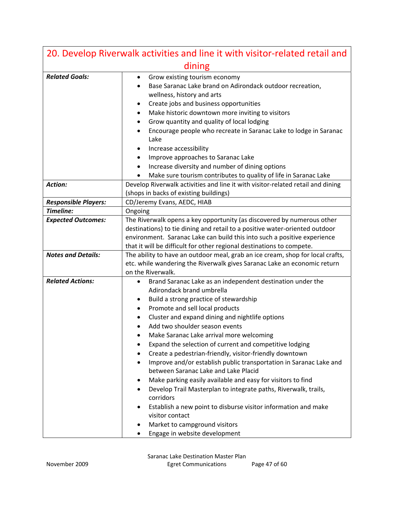| 20. Develop Riverwalk activities and line it with visitor-related retail and |                                                                                                                                                                                                                                                                                                                                                                                                                                                                                                                                                                                                                                                                                                                                                                                                                                                                             |  |  |  |  |  |
|------------------------------------------------------------------------------|-----------------------------------------------------------------------------------------------------------------------------------------------------------------------------------------------------------------------------------------------------------------------------------------------------------------------------------------------------------------------------------------------------------------------------------------------------------------------------------------------------------------------------------------------------------------------------------------------------------------------------------------------------------------------------------------------------------------------------------------------------------------------------------------------------------------------------------------------------------------------------|--|--|--|--|--|
| dining                                                                       |                                                                                                                                                                                                                                                                                                                                                                                                                                                                                                                                                                                                                                                                                                                                                                                                                                                                             |  |  |  |  |  |
| <b>Related Goals:</b>                                                        | Grow existing tourism economy<br>٠<br>Base Saranac Lake brand on Adirondack outdoor recreation,<br>wellness, history and arts<br>Create jobs and business opportunities<br>٠<br>Make historic downtown more inviting to visitors<br>٠<br>Grow quantity and quality of local lodging<br>٠<br>Encourage people who recreate in Saranac Lake to lodge in Saranac<br>$\bullet$<br>Lake                                                                                                                                                                                                                                                                                                                                                                                                                                                                                          |  |  |  |  |  |
|                                                                              | Increase accessibility<br>٠<br>Improve approaches to Saranac Lake<br>٠                                                                                                                                                                                                                                                                                                                                                                                                                                                                                                                                                                                                                                                                                                                                                                                                      |  |  |  |  |  |
|                                                                              | Increase diversity and number of dining options<br>٠                                                                                                                                                                                                                                                                                                                                                                                                                                                                                                                                                                                                                                                                                                                                                                                                                        |  |  |  |  |  |
|                                                                              | Make sure tourism contributes to quality of life in Saranac Lake<br>$\bullet$                                                                                                                                                                                                                                                                                                                                                                                                                                                                                                                                                                                                                                                                                                                                                                                               |  |  |  |  |  |
| <b>Action:</b>                                                               | Develop Riverwalk activities and line it with visitor-related retail and dining<br>(shops in backs of existing buildings)                                                                                                                                                                                                                                                                                                                                                                                                                                                                                                                                                                                                                                                                                                                                                   |  |  |  |  |  |
| <b>Responsible Players:</b>                                                  | CD/Jeremy Evans, AEDC, HIAB                                                                                                                                                                                                                                                                                                                                                                                                                                                                                                                                                                                                                                                                                                                                                                                                                                                 |  |  |  |  |  |
| Timeline:                                                                    | Ongoing                                                                                                                                                                                                                                                                                                                                                                                                                                                                                                                                                                                                                                                                                                                                                                                                                                                                     |  |  |  |  |  |
| <b>Expected Outcomes:</b>                                                    | The Riverwalk opens a key opportunity (as discovered by numerous other<br>destinations) to tie dining and retail to a positive water-oriented outdoor<br>environment. Saranac Lake can build this into such a positive experience<br>that it will be difficult for other regional destinations to compete.                                                                                                                                                                                                                                                                                                                                                                                                                                                                                                                                                                  |  |  |  |  |  |
| <b>Notes and Details:</b>                                                    | The ability to have an outdoor meal, grab an ice cream, shop for local crafts,<br>etc. while wandering the Riverwalk gives Saranac Lake an economic return<br>on the Riverwalk.                                                                                                                                                                                                                                                                                                                                                                                                                                                                                                                                                                                                                                                                                             |  |  |  |  |  |
| <b>Related Actions:</b>                                                      | Brand Saranac Lake as an independent destination under the<br>Adirondack brand umbrella<br>Build a strong practice of stewardship<br>٠<br>Promote and sell local products<br>Cluster and expand dining and nightlife options<br>٠<br>Add two shoulder season events<br>Make Saranac Lake arrival more welcoming<br>Expand the selection of current and competitive lodging<br>Create a pedestrian-friendly, visitor-friendly downtown<br>Improve and/or establish public transportation in Saranac Lake and<br>$\bullet$<br>between Saranac Lake and Lake Placid<br>Make parking easily available and easy for visitors to find<br>Develop Trail Masterplan to integrate paths, Riverwalk, trails,<br>٠<br>corridors<br>Establish a new point to disburse visitor information and make<br>visitor contact<br>Market to campground visitors<br>Engage in website development |  |  |  |  |  |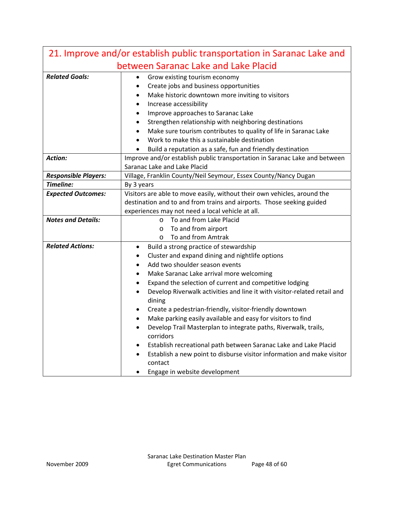| 21. Improve and/or establish public transportation in Saranac Lake and |                                                                                                                                                          |  |  |  |  |  |  |
|------------------------------------------------------------------------|----------------------------------------------------------------------------------------------------------------------------------------------------------|--|--|--|--|--|--|
| between Saranac Lake and Lake Placid                                   |                                                                                                                                                          |  |  |  |  |  |  |
| <b>Related Goals:</b>                                                  | Grow existing tourism economy                                                                                                                            |  |  |  |  |  |  |
|                                                                        | Create jobs and business opportunities<br>$\bullet$                                                                                                      |  |  |  |  |  |  |
|                                                                        | Make historic downtown more inviting to visitors<br>$\bullet$                                                                                            |  |  |  |  |  |  |
|                                                                        | Increase accessibility<br>$\bullet$                                                                                                                      |  |  |  |  |  |  |
|                                                                        | Improve approaches to Saranac Lake<br>$\bullet$                                                                                                          |  |  |  |  |  |  |
|                                                                        | Strengthen relationship with neighboring destinations                                                                                                    |  |  |  |  |  |  |
|                                                                        | Make sure tourism contributes to quality of life in Saranac Lake                                                                                         |  |  |  |  |  |  |
|                                                                        | Work to make this a sustainable destination                                                                                                              |  |  |  |  |  |  |
|                                                                        | Build a reputation as a safe, fun and friendly destination                                                                                               |  |  |  |  |  |  |
| <b>Action:</b>                                                         | Improve and/or establish public transportation in Saranac Lake and between                                                                               |  |  |  |  |  |  |
|                                                                        | Saranac Lake and Lake Placid                                                                                                                             |  |  |  |  |  |  |
| <b>Responsible Players:</b>                                            | Village, Franklin County/Neil Seymour, Essex County/Nancy Dugan                                                                                          |  |  |  |  |  |  |
| Timeline:                                                              | By 3 years                                                                                                                                               |  |  |  |  |  |  |
| <b>Expected Outcomes:</b>                                              | Visitors are able to move easily, without their own vehicles, around the                                                                                 |  |  |  |  |  |  |
|                                                                        | destination and to and from trains and airports. Those seeking guided                                                                                    |  |  |  |  |  |  |
|                                                                        | experiences may not need a local vehicle at all.                                                                                                         |  |  |  |  |  |  |
| <b>Notes and Details:</b>                                              | To and from Lake Placid<br>$\circ$<br>To and from airport<br>$\circ$                                                                                     |  |  |  |  |  |  |
|                                                                        | o To and from Amtrak                                                                                                                                     |  |  |  |  |  |  |
| <b>Related Actions:</b>                                                |                                                                                                                                                          |  |  |  |  |  |  |
|                                                                        | Build a strong practice of stewardship<br>$\bullet$                                                                                                      |  |  |  |  |  |  |
|                                                                        | Cluster and expand dining and nightlife options<br>$\bullet$                                                                                             |  |  |  |  |  |  |
|                                                                        | Add two shoulder season events<br>$\bullet$                                                                                                              |  |  |  |  |  |  |
|                                                                        | Make Saranac Lake arrival more welcoming<br>$\bullet$                                                                                                    |  |  |  |  |  |  |
|                                                                        | Expand the selection of current and competitive lodging<br>$\bullet$                                                                                     |  |  |  |  |  |  |
|                                                                        | Develop Riverwalk activities and line it with visitor-related retail and<br>$\bullet$                                                                    |  |  |  |  |  |  |
|                                                                        | dining                                                                                                                                                   |  |  |  |  |  |  |
|                                                                        | Create a pedestrian-friendly, visitor-friendly downtown<br>٠                                                                                             |  |  |  |  |  |  |
|                                                                        | Make parking easily available and easy for visitors to find<br>$\bullet$<br>Develop Trail Masterplan to integrate paths, Riverwalk, trails,<br>$\bullet$ |  |  |  |  |  |  |
|                                                                        | corridors                                                                                                                                                |  |  |  |  |  |  |
|                                                                        | Establish recreational path between Saranac Lake and Lake Placid<br>٠                                                                                    |  |  |  |  |  |  |
|                                                                        | Establish a new point to disburse visitor information and make visitor<br>$\bullet$                                                                      |  |  |  |  |  |  |
|                                                                        | contact                                                                                                                                                  |  |  |  |  |  |  |
|                                                                        | Engage in website development                                                                                                                            |  |  |  |  |  |  |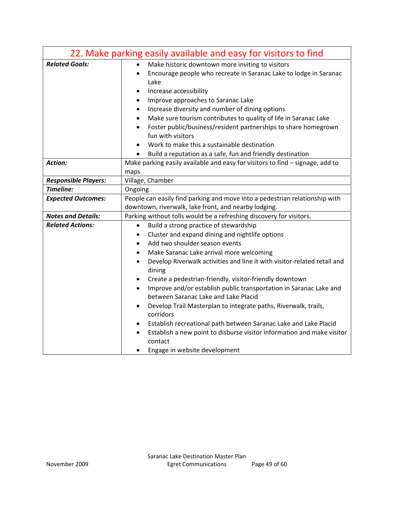| 22. Make parking easily available and easy for visitors to find |                                                                                           |  |  |  |  |  |
|-----------------------------------------------------------------|-------------------------------------------------------------------------------------------|--|--|--|--|--|
| <b>Related Goals:</b>                                           | Make historic downtown more inviting to visitors<br>$\bullet$                             |  |  |  |  |  |
|                                                                 | Encourage people who recreate in Saranac Lake to lodge in Saranac<br>$\bullet$<br>Lake    |  |  |  |  |  |
|                                                                 | Increase accessibility<br>٠                                                               |  |  |  |  |  |
|                                                                 | Improve approaches to Saranac Lake<br>$\bullet$                                           |  |  |  |  |  |
|                                                                 | Increase diversity and number of dining options<br>٠                                      |  |  |  |  |  |
|                                                                 | Make sure tourism contributes to quality of life in Saranac Lake<br>$\bullet$             |  |  |  |  |  |
|                                                                 | Foster public/business/resident partnerships to share homegrown<br>$\bullet$              |  |  |  |  |  |
|                                                                 | fun with visitors                                                                         |  |  |  |  |  |
|                                                                 | Work to make this a sustainable destination                                               |  |  |  |  |  |
|                                                                 | Build a reputation as a safe, fun and friendly destination                                |  |  |  |  |  |
| Action:                                                         | Make parking easily available and easy for visitors to find - signage, add to             |  |  |  |  |  |
|                                                                 | maps                                                                                      |  |  |  |  |  |
| <b>Responsible Players:</b><br>Timeline:                        | Village, Chamber                                                                          |  |  |  |  |  |
|                                                                 | Ongoing<br>People can easily find parking and move into a pedestrian relationship with    |  |  |  |  |  |
| <b>Expected Outcomes:</b>                                       | downtown, riverwalk, lake front, and nearby lodging.                                      |  |  |  |  |  |
| <b>Notes and Details:</b>                                       | Parking without tolls would be a refreshing discovery for visitors.                       |  |  |  |  |  |
| <b>Related Actions:</b>                                         | Build a strong practice of stewardship<br>$\bullet$                                       |  |  |  |  |  |
|                                                                 | Cluster and expand dining and nightlife options<br>٠                                      |  |  |  |  |  |
|                                                                 | Add two shoulder season events<br>$\bullet$                                               |  |  |  |  |  |
|                                                                 | Make Saranac Lake arrival more welcoming<br>$\bullet$                                     |  |  |  |  |  |
|                                                                 | Develop Riverwalk activities and line it with visitor-related retail and<br>$\bullet$     |  |  |  |  |  |
|                                                                 | dining                                                                                    |  |  |  |  |  |
|                                                                 | Create a pedestrian-friendly, visitor-friendly downtown<br>$\bullet$                      |  |  |  |  |  |
|                                                                 | Improve and/or establish public transportation in Saranac Lake and<br>$\bullet$           |  |  |  |  |  |
|                                                                 | between Saranac Lake and Lake Placid                                                      |  |  |  |  |  |
|                                                                 | Develop Trail Masterplan to integrate paths, Riverwalk, trails,<br>$\bullet$<br>corridors |  |  |  |  |  |
|                                                                 | Establish recreational path between Saranac Lake and Lake Placid<br>٠                     |  |  |  |  |  |
|                                                                 | Establish a new point to disburse visitor information and make visitor                    |  |  |  |  |  |
|                                                                 | contact                                                                                   |  |  |  |  |  |
|                                                                 | Engage in website development                                                             |  |  |  |  |  |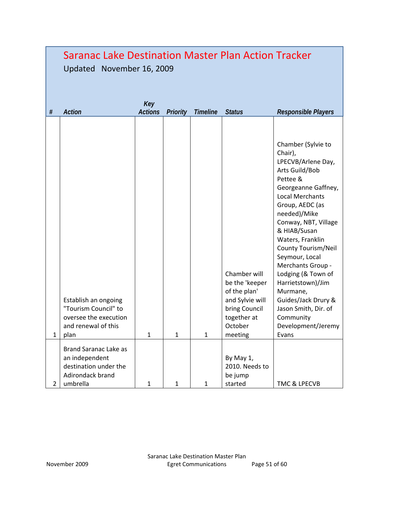|                | Saranac Lake Destination Master Plan Action Tracker<br>Updated November 16, 2009                     |                       |              |          |                                                                                                                         |                                                                                                                                                                                                                                                                                                                                                                                                                                                   |
|----------------|------------------------------------------------------------------------------------------------------|-----------------------|--------------|----------|-------------------------------------------------------------------------------------------------------------------------|---------------------------------------------------------------------------------------------------------------------------------------------------------------------------------------------------------------------------------------------------------------------------------------------------------------------------------------------------------------------------------------------------------------------------------------------------|
| $\#$           | Action                                                                                               | Key<br><b>Actions</b> | Priority     | Timeline | <b>Status</b>                                                                                                           | Responsible Players                                                                                                                                                                                                                                                                                                                                                                                                                               |
| 1              | Establish an ongoing<br>"Tourism Council" to<br>oversee the execution<br>and renewal of this<br>plan | 1                     | 1            | 1        | Chamber will<br>be the 'keeper<br>of the plan'<br>and Sylvie will<br>bring Council<br>together at<br>October<br>meeting | Chamber (Sylvie to<br>Chair),<br>LPECVB/Arlene Day,<br>Arts Guild/Bob<br>Pettee &<br>Georgeanne Gaffney,<br><b>Local Merchants</b><br>Group, AEDC (as<br>needed)/Mike<br>Conway, NBT, Village<br>& HIAB/Susan<br>Waters, Franklin<br>County Tourism/Neil<br>Seymour, Local<br>Merchants Group -<br>Lodging (& Town of<br>Harrietstown)/Jim<br>Murmane,<br>Guides/Jack Drury &<br>Jason Smith, Dir. of<br>Community<br>Development/Jeremy<br>Evans |
| $\overline{2}$ | Brand Saranac Lake as<br>an independent<br>destination under the<br>Adirondack brand<br>umbrella     | 1                     | $\mathbf{1}$ | 1        | By May 1,<br>2010. Needs to<br>be jump<br>started                                                                       | TMC & LPECVB                                                                                                                                                                                                                                                                                                                                                                                                                                      |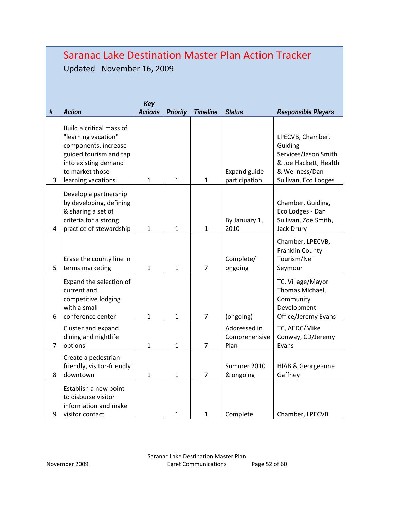#### Saranac Lake Destination Master Plan Action Tracker Updated November 16, 2009 *# Action Key Actions Priority Timeline Status Responsible Players*  3 Build a critical mass of "learning vacation" components, increase guided tourism and tap into existing demand to market those  $learning\,vactions$  1 1 1 1 Expand guide participation. LPECVB, Chamber, Guiding Services/Jason Smith & Joe Hackett, Health & Wellness/Dan Sullivan, Eco Lodges 4 Develop a partnership by developing, defining & sharing a set of criteria for a strong practice of stewardship  $\begin{array}{|c|c|c|c|c|c|} \hline 1 & 1 & 1 \ \hline \end{array}$ By January 1, 2010 Chamber, Guiding, Eco Lodges - Dan Sullivan, Zoe Smith, Jack Drury 5 Erase the county line in terms marketing  $\begin{array}{|c|c|c|c|c|} \hline 1 & 1 & 1 \end{array}$  7 Complete/ ongoing Chamber, LPECVB, Franklin County Tourism/Neil Seymour 6 Expand the selection of current and competitive lodging with a small conference center  $\begin{vmatrix} 1 & 1 & 1 \\ 1 & 1 & 7 \end{vmatrix}$  (ongoing) TC, Village/Mayor Thomas Michael, **Community** Development Office/Jeremy Evans 7 Cluster and expand dining and nightlife options 1 1 7 Addressed in Comprehensive Plan TC, AEDC/Mike Conway, CD/Jeremy Evans 8 Create a pedestrianfriendly, visitor-friendly  $d$ owntown  $\begin{array}{|c|c|c|c|c|c|c|c|c|} \hline 1 & 1 & 1 & 7 \ \hline \end{array}$ Summer 2010 & ongoing HIAB & Georgeanne Gaffney 9 Establish a new point to disburse visitor information and make visitor contact  $\begin{vmatrix} 1 & 1 & 1 \end{vmatrix}$  Complete  $\begin{vmatrix} 1 & 1 & 1 \end{vmatrix}$  Complete  $\begin{vmatrix} 2 & 1 & 1 \end{vmatrix}$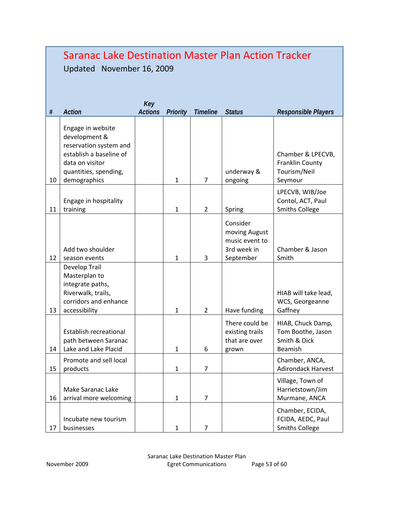|      | <b>Saranac Lake Destination Master Plan Action Tracker</b><br>Updated November 16, 2009                                                             |                       |              |                 |                                                                         |                                                                   |
|------|-----------------------------------------------------------------------------------------------------------------------------------------------------|-----------------------|--------------|-----------------|-------------------------------------------------------------------------|-------------------------------------------------------------------|
| $\#$ | Action                                                                                                                                              | Key<br><b>Actions</b> | Priority     | <b>Timeline</b> | <b>Status</b>                                                           | Responsible Players                                               |
| 10   | Engage in website<br>development &<br>reservation system and<br>establish a baseline of<br>data on visitor<br>quantities, spending,<br>demographics |                       | $\mathbf{1}$ | 7               | underway &<br>ongoing                                                   | Chamber & LPECVB,<br>Franklin County<br>Tourism/Neil<br>Seymour   |
| 11   | Engage in hospitality<br>training                                                                                                                   |                       | 1            | $\overline{2}$  | Spring                                                                  | LPECVB, WIB/Joe<br>Contol, ACT, Paul<br><b>Smiths College</b>     |
| 12   | Add two shoulder<br>season events                                                                                                                   |                       | $\mathbf{1}$ | 3               | Consider<br>moving August<br>music event to<br>3rd week in<br>September | Chamber & Jason<br>Smith                                          |
| 13   | Develop Trail<br>Masterplan to<br>integrate paths,<br>Riverwalk, trails,<br>corridors and enhance<br>accessibility                                  |                       | 1            | $\overline{2}$  | Have funding                                                            | HIAB will take lead,<br>WCS, Georgeanne<br>Gaffney                |
| 14   | Establish recreational<br>path between Saranac<br>Lake and Lake Placid                                                                              |                       | $\mathbf{1}$ | 6               | There could be<br>existing trails<br>that are over<br>grown             | HIAB, Chuck Damp,<br>Tom Boothe, Jason<br>Smith & Dick<br>Beamish |
| 15   | Promote and sell local<br>products                                                                                                                  |                       | $\mathbf{1}$ | 7               |                                                                         | Chamber, ANCA,<br><b>Adirondack Harvest</b>                       |
| 16   | Make Saranac Lake<br>arrival more welcoming                                                                                                         |                       | $\mathbf{1}$ | $\overline{7}$  |                                                                         | Village, Town of<br>Harrietstown/Jim<br>Murmane, ANCA             |
| 17   | Incubate new tourism<br>businesses                                                                                                                  |                       | $\mathbf{1}$ | $\overline{7}$  |                                                                         | Chamber, ECIDA,<br>FCIDA, AEDC, Paul<br><b>Smiths College</b>     |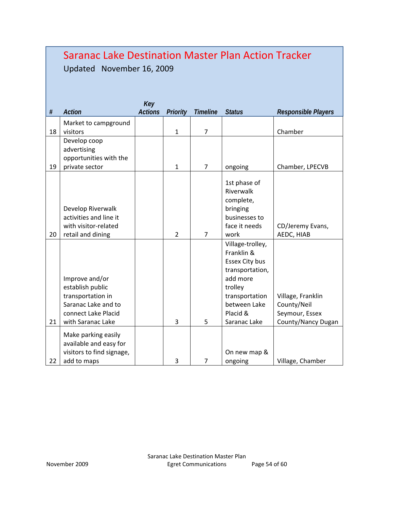|      | <b>Saranac Lake Destination Master Plan Action Tracker</b><br>November 16, 2009<br>Updated                                 |                       |                |                |                                                                                                                                                          |                                                                          |  |
|------|----------------------------------------------------------------------------------------------------------------------------|-----------------------|----------------|----------------|----------------------------------------------------------------------------------------------------------------------------------------------------------|--------------------------------------------------------------------------|--|
| $\#$ | Action                                                                                                                     | Key<br><b>Actions</b> | Priority       | Timeline       | <b>Status</b>                                                                                                                                            | Responsible Players                                                      |  |
| 18   | Market to campground<br>visitors                                                                                           |                       | $\mathbf{1}$   | $\overline{7}$ |                                                                                                                                                          | Chamber                                                                  |  |
| 19   | Develop coop<br>advertising<br>opportunities with the<br>private sector                                                    |                       | $\mathbf{1}$   | $\overline{7}$ | ongoing                                                                                                                                                  | Chamber, LPECVB                                                          |  |
| 20   | Develop Riverwalk<br>activities and line it<br>with visitor-related<br>retail and dining                                   |                       | $\overline{2}$ | $\overline{7}$ | 1st phase of<br>Riverwalk<br>complete,<br>bringing<br>businesses to<br>face it needs<br>work                                                             | CD/Jeremy Evans,<br>AEDC, HIAB                                           |  |
| 21   | Improve and/or<br>establish public<br>transportation in<br>Saranac Lake and to<br>connect Lake Placid<br>with Saranac Lake |                       | 3              | 5              | Village-trolley,<br>Franklin &<br>Essex City bus<br>transportation,<br>add more<br>trolley<br>transportation<br>between Lake<br>Placid &<br>Saranac Lake | Village, Franklin<br>County/Neil<br>Seymour, Essex<br>County/Nancy Dugan |  |
| 22   | Make parking easily<br>available and easy for<br>visitors to find signage,<br>add to maps                                  |                       | 3              | $\overline{7}$ | On new map &<br>ongoing                                                                                                                                  | Village, Chamber                                                         |  |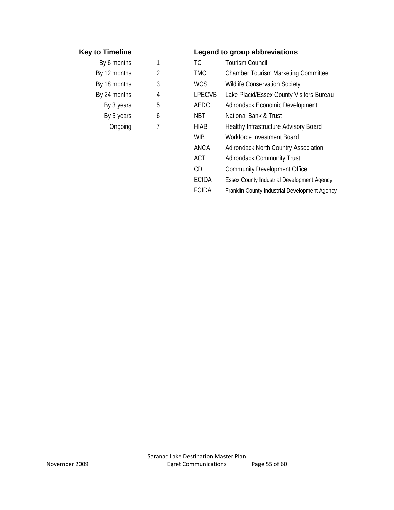| By 6 months  |   |
|--------------|---|
| By 12 months | 2 |
| By 18 months | 3 |
| By 24 months | 4 |
| By 3 years   | E |
| By 5 years   | f |
| Ongoing      | 7 |
|              |   |

# **Key to Timeline Legend to group abbreviations**

|   | <b>TC</b>     | <b>Tourism Council</b>                            |
|---|---------------|---------------------------------------------------|
| 2 | <b>TMC</b>    | <b>Chamber Tourism Marketing Committee</b>        |
| 3 | <b>WCS</b>    | <b>Wildlife Conservation Society</b>              |
| 4 | <b>LPECVB</b> | Lake Placid/Essex County Visitors Bureau          |
| 5 | <b>AEDC</b>   | Adirondack Economic Development                   |
| 6 | <b>NBT</b>    | National Bank & Trust                             |
|   | <b>HIAB</b>   | <b>Healthy Infrastructure Advisory Board</b>      |
|   | <b>WIB</b>    | Workforce Investment Board                        |
|   | <b>ANCA</b>   | <b>Adirondack North Country Association</b>       |
|   | <b>ACT</b>    | <b>Adirondack Community Trust</b>                 |
|   | CD            | <b>Community Development Office</b>               |
|   | <b>ECIDA</b>  | <b>Essex County Industrial Development Agency</b> |
|   | <b>FCIDA</b>  | Franklin County Industrial Development Agency     |
|   |               |                                                   |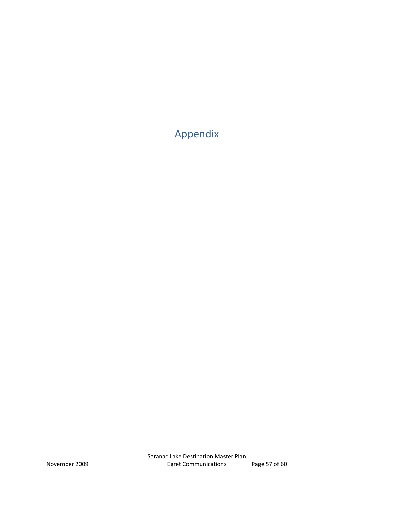Appendix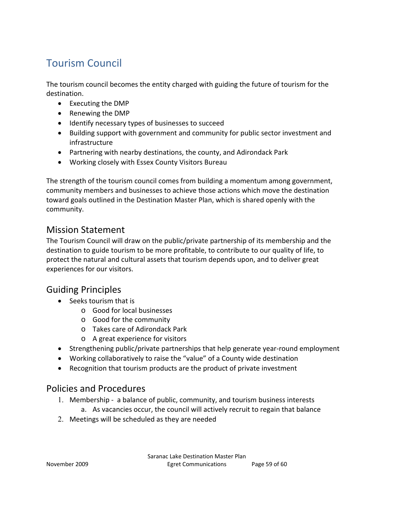# Tourism Council

The tourism council becomes the entity charged with guiding the future of tourism for the destination.

- Executing the DMP
- Renewing the DMP
- Identify necessary types of businesses to succeed
- Building support with government and community for public sector investment and infrastructure
- Partnering with nearby destinations, the county, and Adirondack Park
- Working closely with Essex County Visitors Bureau

The strength of the tourism council comes from building a momentum among government, community members and businesses to achieve those actions which move the destination toward goals outlined in the Destination Master Plan, which is shared openly with the community.

# Mission Statement

The Tourism Council will draw on the public/private partnership of its membership and the destination to guide tourism to be more profitable, to contribute to our quality of life, to protect the natural and cultural assets that tourism depends upon, and to deliver great experiences for our visitors.

# Guiding Principles

- $\bullet$  Seeks tourism that is
	- o Good for local businesses
	- o Good for the community
	- o Takes care of Adirondack Park
	- o A great experience for visitors
- Strengthening public/private partnerships that help generate year-round employment
- Working collaboratively to raise the "value" of a County wide destination
- Recognition that tourism products are the product of private investment

# Policies and Procedures

- 1. Membership a balance of public, community, and tourism business interests
	- a. As vacancies occur, the council will actively recruit to regain that balance
- Meetings will be scheduled as they are needed